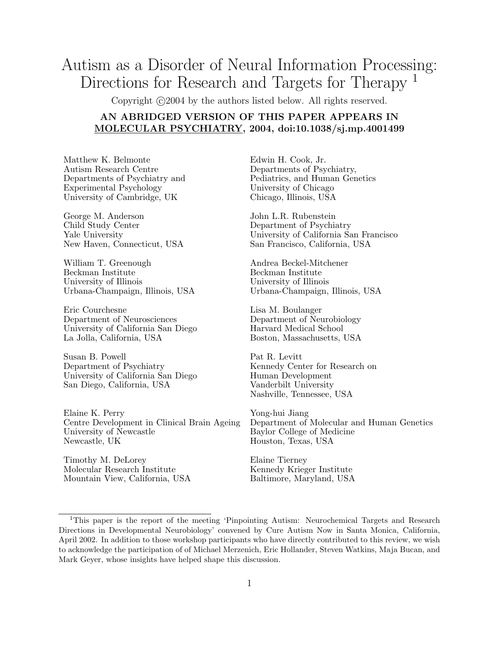# Autism as a Disorder of Neural Information Processing: Directions for Research and Targets for Therapy<sup>1</sup>

Copyright  $\odot$  2004 by the authors listed below. All rights reserved.

### **AN ABRIDGED VERSION OF THIS PAPER APPEARS IN MOLECULAR PSYCHIATRY, 2004, doi:10.1038/sj.mp.4001499**

Matthew K. Belmonte **Edwin H. Cook**, Jr. Autism Research Centre Departments of Psychiatry, Departments of Psychiatry, Departments of Psychiatry,  $\blacksquare$ Experimental Psychology University of Cambridge, UK Chicago, Illinois, USA

George M. Anderson John L.R. Rubenstein Child Study Center **Department** of Psychiatry

William T. Greenough **Andrea Beckel-Mitchener** Beckman Institute Beckman Institute University of Illinois<br>
University of Illinois<br>
University of Illinois<br>
University of Illinois<br>
University of Illinois<br>
University of Illinois<br>
University of Illinois

Eric Courchesne Lisa M. Boulanger Department of Neurosciences Department of Neurobiology University of California San Diego Harvard Medical School La Jolla, California, USA Boston, Massachusetts, USA

Susan B. Powell Pat R. Levitt Department of Psychiatry Kennedy Center for Research on University of California San Diego Human Development San Diego, California, USA Vanderbilt University

Elaine K. Perry Tong-hui Jiang<br>Centre Development in Clinical Brain Ageing Department of University of Newcastle Baylor College of Medicine Newcastle, UK Houston, Texas, USA

TimothyM. DeLorey Elaine Tierney Molecular Research Institute Kennedy Krieger Institute Mountain View, California, USA Baltimore, Maryland, USA Mountain View, California, USA

Pediatrics, and Human Genetics<br>University of Chicago

Yale University University University of California San Francisco New Haven, Connecticut, USA San Francisco, California, USA

Urbana-Champaign, Illinois, USA

Nashville, Tennessee, USA

Department of Molecular and Human Genetics

<sup>1</sup>This paper is the report of the meeting 'Pinpointing Autism: Neurochemical Targets and Research Directions in Developmental Neurobiology' convened by Cure Autism Now in Santa Monica, California, April 2002. In addition to those workshop participants who have directly contributed to this review, we wish to acknowledge the participation of of Michael Merzenich, Eric Hollander, Steven Watkins, Maja Bucan, and Mark Geyer, whose insights have helped shape this discussion.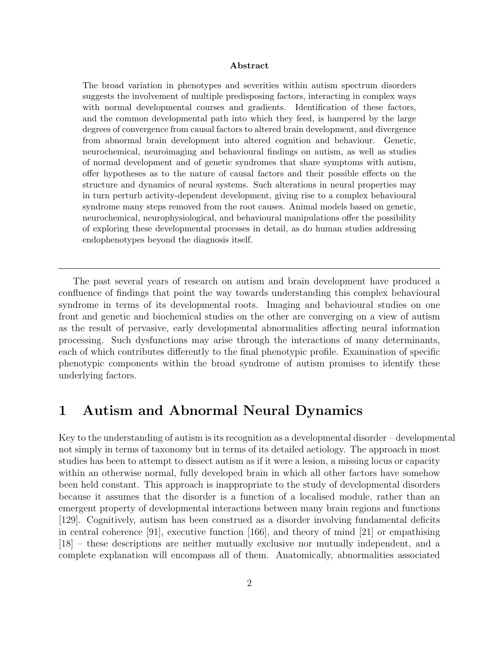#### **Abstract**

The broad variation in phenotypes and severities within autism spectrum disorders suggests the involvement of multiple predisposing factors, interacting in complex ways with normal developmental courses and gradients. Identification of these factors, and the common developmental path into which they feed, is hampered by the large degrees of convergence from causal factors to altered brain development, and divergence from abnormal brain development into altered cognition and behaviour. Genetic, neurochemical, neuroimaging and behavioural findings on autism, as well as studies of normal development and of genetic syndromes that share symptoms with autism, offer hypotheses as to the nature of causal factors and their possible effects on the structure and dynamics of neural systems. Such alterations in neural properties may in turn perturb activity-dependent development, giving rise to a complex behavioural syndrome many steps removed from the root causes. Animal models based on genetic, neurochemical, neurophysiological, and behavioural manipulations offer the possibility of exploring these developmental processes in detail, as do human studies addressing endophenotypes beyond the diagnosis itself.

The past several years of research on autism and brain development have produced a confluence of findings that point the way towards understanding this complexbehavioural syndrome in terms of its developmental roots. Imaging and behavioural studies on one front and genetic and biochemical studies on the other are converging on a view of autism as the result of pervasive, early developmental abnormalities affecting neural information processing. Such dysfunctions may arise through the interactions of many determinants, each of which contributes differently to the final phenotypic profile. Examination of specific phenotypic components within the broad syndrome of autism promises to identify these underlying factors.

### **1 Autism and Abnormal Neural Dynamics**

Key to the understanding of autism is its recognition as a developmental disorder – developmental not simply in terms of taxonomy but in terms of its detailed aetiology. The approach in most studies has been to attempt to dissect autism as if it were a lesion, a missing locus or capacity within an otherwise normal, fully developed brain in which all other factors have somehow been held constant. This approach is inappropriate to the study of developmental disorders because it assumes that the disorder is a function of a localised module, rather than an emergent property of developmental interactions between many brain regions and functions [129]. Cognitively, autism has been construed as a disorder involving fundamental deficits in central coherence [91], executive function [166], and theory of mind [21] or empathising [18] – these descriptions are neither mutually exclusive nor mutually independent, and a complete explanation will encompass all of them. Anatomically, abnormalities associated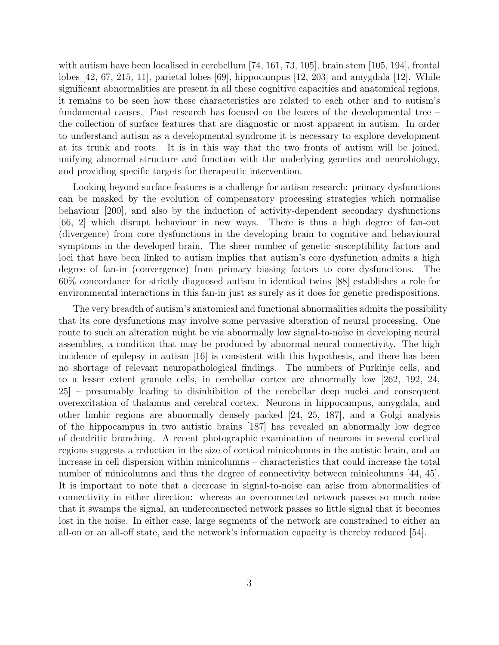with autism have been localised in cerebellum  $[74, 161, 73, 105]$ , brain stem  $[105, 194]$ , frontal lobes  $[42, 67, 215, 11]$ , parietal lobes  $[69]$ , hippocampus  $[12, 203]$  and amygdala  $[12]$ . While significant abnormalities are present in all these cognitive capacities and anatomical regions, it remains to be seen how these characteristics are related to each other and to autism's fundamental causes. Past research has focused on the leaves of the developmental tree – the collection of surface features that are diagnostic or most apparent in autism. In order to understand autism as a developmental syndrome it is necessary to explore development at its trunk and roots. It is in this way that the two fronts of autism will be joined, unifying abnormal structure and function with the underlying genetics and neurobiology, and providing specific targets for therapeutic intervention.

Looking beyond surface features is a challenge for autism research: primary dysfunctions can be masked by the evolution of compensatory processing strategies which normalise behaviour [200], and also by the induction of activity-dependent secondary dysfunctions [66, 2] which disrupt behaviour in new ways. There is thus a high degree of fan-out (divergence) from core dysfunctions in the developing brain to cognitive and behavioural symptoms in the developed brain. The sheer number of genetic susceptibility factors and loci that have been linked to autism implies that autism's core dysfunction admits a high degree of fan-in (convergence) from primary biasing factors to core dysfunctions. The 60% concordance for strictly diagnosed autism in identical twins [88] establishes a role for environmental interactions in this fan-in just as surely as it does for genetic predispositions.

The very breadth of autism's anatomical and functional abnormalities admits the possibility that its core dysfunctions may involve some pervasive alteration of neural processing. One route to such an alteration might be via abnormally low signal-to-noise in developing neural assemblies, a condition that may be produced by abnormal neural connectivity. The high incidence of epilepsy in autism [16] is consistent with this hypothesis, and there has been no shortage of relevant neuropathological findings. The numbers of Purkinje cells, and to a lesser extent granule cells, in cerebellar cortex are abnormally low [262, 192, 24, 25] – presumably leading to disinhibition of the cerebellar deep nuclei and consequent overexcitation of thalamus and cerebral cortex. Neurons in hippocampus, amygdala, and other limbic regions are abnormally densely packed [24, 25, 187], and a Golgi analysis of the hippocampus in two autistic brains [187] has revealed an abnormally low degree of dendritic branching. A recent photographic examination of neurons in several cortical regions suggests a reduction in the size of cortical minicolumns in the autistic brain, and an increase in cell dispersion within minicolumns – characteristics that could increase the total number of minicolumns and thus the degree of connectivity between minicolumns [44, 45]. It is important to note that a decrease in signal-to-noise can arise from abnormalities of connectivity in either direction: whereas an overconnected network passes so much noise that it swamps the signal, an underconnected network passes so little signal that it becomes lost in the noise. In either case, large segments of the network are constrained to either an all-on or an all-off state, and the network's information capacity is thereby reduced [54].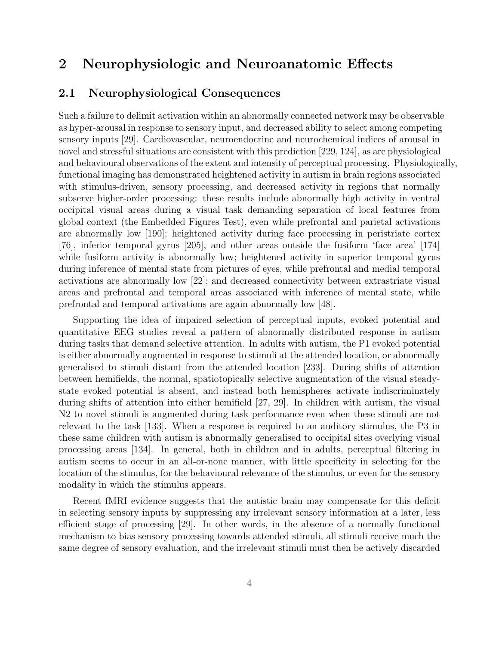## **2 Neurophysiologic and Neuroanatomic Effects**

#### **2.1 Neurophysiological Consequences**

Such a failure to delimit activation within an abnormally connected network may be observable as hyper-arousal in response to sensory input, and decreased ability to select among competing sensory inputs [29]. Cardiovascular, neuroendocrine and neurochemical indices of arousal in novel and stressful situations are consistent with this prediction [229, 124], as are physiological and behavioural observations of the extent and intensity of perceptual processing. Physiologically, functional imaging has demonstrated heightened activity in autism in brain regions associated with stimulus-driven, sensory processing, and decreased activity in regions that normally subserve higher-order processing: these results include abnormally high activity in ventral occipital visual areas during a visual task demanding separation of local features from global context (the Embedded Figures Test), even while prefrontal and parietal activations are abnormally low [190]; heightened activity during face processing in peristriate cortex [76], inferior temporal gyrus [205], and other areas outside the fusiform 'face area' [174] while fusiform activity is abnormally low; heightened activity in superior temporal gyrus during inference of mental state from pictures of eyes, while prefrontal and medial temporal activations are abnormally low [22]; and decreased connectivity between extrastriate visual areas and prefrontal and temporal areas associated with inference of mental state, while prefrontal and temporal activations are again abnormally low [48].

Supporting the idea of impaired selection of perceptual inputs, evoked potential and quantitative EEG studies reveal a pattern of abnormally distributed response in autism during tasks that demand selective attention. In adults with autism, the P1 evoked potential is either abnormally augmented in response to stimuli at the attended location, or abnormally generalised to stimuli distant from the attended location [233]. During shifts of attention between hemifields, the normal, spatiotopically selective augmentation of the visual steadystate evoked potential is absent, and instead both hemispheres activate indiscriminately during shifts of attention into either hemifield [27, 29]. In children with autism, the visual N2 to novel stimuli is augmented during task performance even when these stimuli are not relevant to the task [133]. When a response is required to an auditory stimulus, the P3 in these same children with autism is abnormally generalised to occipital sites overlying visual processing areas [134]. In general, both in children and in adults, perceptual filtering in autism seems to occur in an all-or-none manner, with little specificity in selecting for the location of the stimulus, for the behavioural relevance of the stimulus, or even for the sensory modality in which the stimulus appears.

Recent fMRI evidence suggests that the autistic brain may compensate for this deficit in selecting sensory inputs by suppressing any irrelevant sensory information at a later, less efficient stage of processing [29]. In other words, in the absence of a normally functional mechanism to bias sensory processing towards attended stimuli, all stimuli receive much the same degree of sensory evaluation, and the irrelevant stimuli must then be actively discarded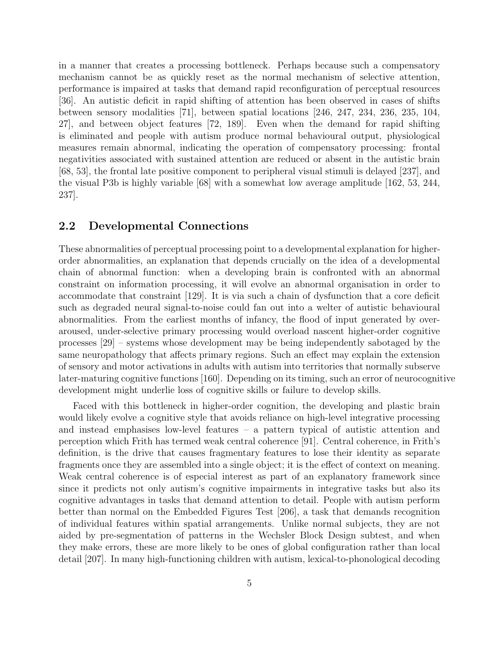in a manner that creates a processing bottleneck. Perhaps because such a compensatory mechanism cannot be as quickly reset as the normal mechanism of selective attention, performance is impaired at tasks that demand rapid reconfiguration of perceptual resources [36]. An autistic deficit in rapid shifting of attention has been observed in cases of shifts between sensory modalities [71], between spatial locations [246, 247, 234, 236, 235, 104, 27], and between object features [72, 189]. Even when the demand for rapid shifting is eliminated and people with autism produce normal behavioural output, physiological measures remain abnormal, indicating the operation of compensatory processing: frontal negativities associated with sustained attention are reduced or absent in the autistic brain [68, 53], the frontal late positive component to peripheral visual stimuli is delayed [237], and the visual P3b is highly variable [68] with a somewhat low average amplitude [162, 53, 244, 237].

#### **2.2 Developmental Connections**

These abnormalities of perceptual processing point to a developmental explanation for higherorder abnormalities, an explanation that depends crucially on the idea of a developmental chain of abnormal function: when a developing brain is confronted with an abnormal constraint on information processing, it will evolve an abnormal organisation in order to accommodate that constraint [129]. It is via such a chain of dysfunction that a core deficit such as degraded neural signal-to-noise could fan out into a welter of autistic behavioural abnormalities. From the earliest months of infancy, the flood of input generated by overaroused, under-selective primary processing would overload nascent higher-order cognitive processes [29] – systems whose development may be being independently sabotaged by the same neuropathology that affects primary regions. Such an effect may explain the extension of sensory and motor activations in adults with autism into territories that normally subserve later-maturing cognitive functions [160]. Depending on its timing, such an error of neurocognitive development might underlie loss of cognitive skills or failure to develop skills.

Faced with this bottleneck in higher-order cognition, the developing and plastic brain would likely evolve a cognitive style that avoids reliance on high-level integrative processing and instead emphasises low-level features – a pattern typical of autistic attention and perception which Frith has termed weak central coherence [91]. Central coherence, in Frith's definition, is the drive that causes fragmentary features to lose their identity as separate fragments once they are assembled into a single object; it is the effect of context on meaning. Weak central coherence is of especial interest as part of an explanatory framework since since it predicts not only autism's cognitive impairments in integrative tasks but also its cognitive advantages in tasks that demand attention to detail. People with autism perform better than normal on the Embedded Figures Test [206], a task that demands recognition of individual features within spatial arrangements. Unlike normal subjects, they are not aided by pre-segmentation of patterns in the Wechsler Block Design subtest, and when they make errors, these are more likely to be ones of global configuration rather than local detail [207]. In many high-functioning children with autism, lexical-to-phonological decoding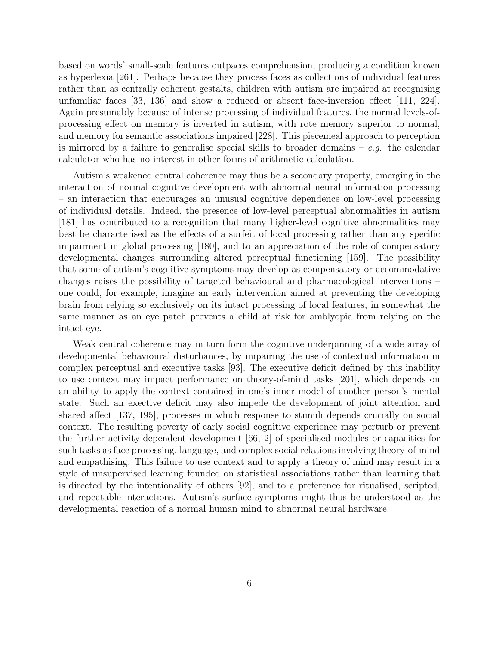based on words' small-scale features outpaces comprehension, producing a condition known as hyperlexia [261]. Perhaps because they process faces as collections of individual features rather than as centrally coherent gestalts, children with autism are impaired at recognising unfamiliar faces [33, 136] and show a reduced or absent face-inversion effect [111, 224]. Again presumably because of intense processing of individual features, the normal levels-ofprocessing effect on memory is inverted in autism, with rote memory superior to normal, and memory for semantic associations impaired [228]. This piecemeal approach to perception is mirrored by a failure to generalise special skills to broader domains – *e.g.* the calendar calculator who has no interest in other forms of arithmetic calculation.

Autism's weakened central coherence may thus be a secondary property, emerging in the interaction of normal cognitive development with abnormal neural information processing – an interaction that encourages an unusual cognitive dependence on low-level processing of individual details. Indeed, the presence of low-level perceptual abnormalities in autism [181] has contributed to a recognition that many higher-level cognitive abnormalities may best be characterised as the effects of a surfeit of local processing rather than any specific impairment in global processing [180], and to an appreciation of the role of compensatory developmental changes surrounding altered perceptual functioning [159]. The possibility that some of autism's cognitive symptoms may develop as compensatory or accommodative changes raises the possibility of targeted behavioural and pharmacological interventions – one could, for example, imagine an early intervention aimed at preventing the developing brain from relying so exclusively on its intact processing of local features, in somewhat the same manner as an eye patch prevents a child at risk for amblyopia from relying on the intact eye.

Weak central coherence may in turn form the cognitive underpinning of a wide array of developmental behavioural disturbances, by impairing the use of contextual information in complex perceptual and executive tasks [93]. The executive deficit defined by this inability to use context may impact performance on theory-of-mind tasks [201], which depends on an ability to apply the context contained in one's inner model of another person's mental state. Such an exective deficit may also impede the development of joint attention and shared affect [137, 195], processes in which response to stimuli depends crucially on social context. The resulting poverty of early social cognitive experience may perturb or prevent the further activity-dependent development [66, 2] of specialised modules or capacities for such tasks as face processing, language, and complex social relations involving theory-of-mind and empathising. This failure to use context and to apply a theory of mind may result in a style of unsupervised learning founded on statistical associations rather than learning that is directed by the intentionality of others [92], and to a preference for ritualised, scripted, and repeatable interactions. Autism's surface symptoms might thus be understood as the developmental reaction of a normal human mind to abnormal neural hardware.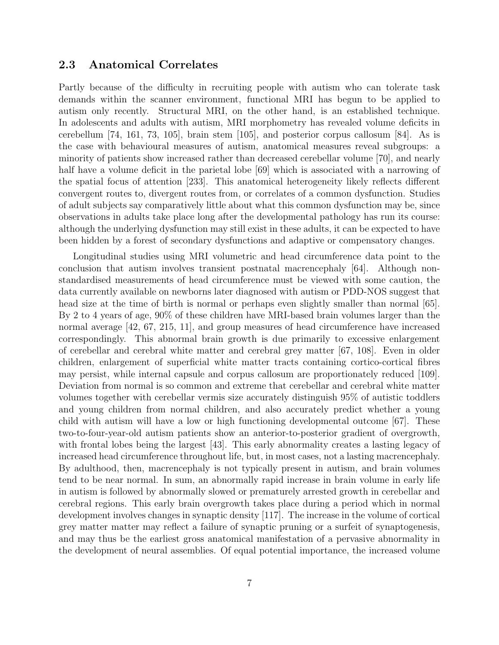#### **2.3 Anatomical Correlates**

Partly because of the difficulty in recruiting people with autism who can tolerate task demands within the scanner environment, functional MRI has begun to be applied to autism only recently. Structural MRI, on the other hand, is an established technique. In adolescents and adults with autism, MRI morphometry has revealed volume deficits in cerebellum [74, 161, 73, 105], brain stem [105], and posterior corpus callosum [84]. As is the case with behavioural measures of autism, anatomical measures reveal subgroups: a minority of patients show increased rather than decreased cerebellar volume [70], and nearly half have a volume deficit in the parietal lobe [69] which is associated with a narrowing of the spatial focus of attention [233]. This anatomical heterogeneity likely reflects different convergent routes to, divergent routes from, or correlates of a common dysfunction. Studies of adult subjects say comparatively little about what this common dysfunction may be, since observations in adults take place long after the developmental pathology has run its course: although the underlying dysfunction may still exist in these adults, it can be expected to have been hidden by a forest of secondary dysfunctions and adaptive or compensatory changes.

Longitudinal studies using MRI volumetric and head circumference data point to the conclusion that autism involves transient postnatal macrencephaly [64]. Although nonstandardised measurements of head circumference must be viewed with some caution, the data currently available on newborns later diagnosed with autism or PDD-NOS suggest that head size at the time of birth is normal or perhaps even slightly smaller than normal [65]. By 2 to 4 years of age, 90% of these children have MRI-based brain volumes larger than the normal average [42, 67, 215, 11], and group measures of head circumference have increased correspondingly. This abnormal brain growth is due primarily to excessive enlargement of cerebellar and cerebral white matter and cerebral grey matter [67, 108]. Even in older children, enlargement of superficial white matter tracts containing cortico-cortical fibres may persist, while internal capsule and corpus callosum are proportionately reduced [109]. Deviation from normal is so common and extreme that cerebellar and cerebral white matter volumes together with cerebellar vermis size accurately distinguish 95% of autistic toddlers and young children from normal children, and also accurately predict whether a young child with autism will have a low or high functioning developmental outcome [67]. These two-to-four-year-old autism patients show an anterior-to-posterior gradient of overgrowth, with frontal lobes being the largest [43]. This early abnormality creates a lasting legacy of increased head circumference throughout life, but, in most cases, not a lasting macrencephaly. By adulthood, then, macrencephaly is not typically present in autism, and brain volumes tend to be near normal. In sum, an abnormally rapid increase in brain volume in early life in autism is followed by abnormally slowed or prematurely arrested growth in cerebellar and cerebral regions. This early brain overgrowth takes place during a period which in normal development involves changes in synaptic density [117]. The increase in the volume of cortical grey matter matter may reflect a failure of synaptic pruning or a surfeit of synaptogenesis, and may thus be the earliest gross anatomical manifestation of a pervasive abnormality in the development of neural assemblies. Of equal potential importance, the increased volume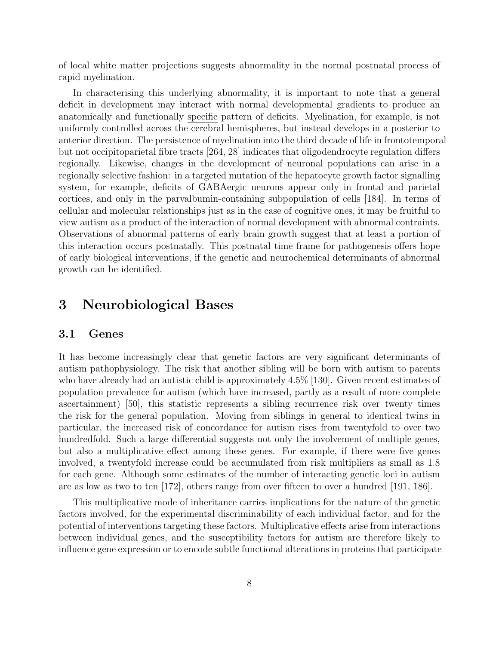of local white matter projections suggests abnormality in the normal postnatal process of rapid myelination.

In characterising this underlying abnormality, it is important to note that a general deficit in development may interact with normal developmental gradients to produce an anatomically and functionally specific pattern of deficits. Myelination, for example, is not uniformly controlled across the cerebral hemispheres, but instead develops in a posterior to anterior direction. The persistence of myelination into the third decade of life in frontotemporal but not occipitoparietal fibre tracts [264, 28] indicates that oligodendrocyte regulation differs regionally. Likewise, changes in the development of neuronal populations can arise in a regionally selective fashion: in a targeted mutation of the hepatocyte growth factor signalling system, for example, deficits of GABAergic neurons appear only in frontal and parietal cortices, and only in the parvalbumin-containing subpopulation of cells [184]. In terms of cellular and molecular relationships just as in the case of cognitive ones, it may be fruitful to view autism as a product of the interaction of normal development with abnormal contraints. Observations of abnormal patterns of early brain growth suggest that at least a portion of this interaction occurs postnatally. This postnatal time frame for pathogenesis offers hope of early biological interventions, if the genetic and neurochemical determinants of abnormal growth can be identified.

### **3 Neurobiological Bases**

#### **3.1 Genes**

It has become increasingly clear that genetic factors are very significant determinants of autism pathophysiology. The risk that another sibling will be born with autism to parents who have already had an autistic child is approximately 4.5% [130]. Given recent estimates of population prevalence for autism (which have increased, partly as a result of more complete ascertainment) [50], this statistic represents a sibling recurrence risk over twenty times the risk for the general population. Moving from siblings in general to identical twins in particular, the increased risk of concordance for autism rises from twentyfold to over two hundredfold. Such a large differential suggests not only the involvement of multiple genes, but also a multiplicative effect among these genes. For example, if there were five genes involved, a twentyfold increase could be accumulated from risk multipliers as small as 1.8 for each gene. Although some estimates of the number of interacting genetic loci in autism are as low as two to ten [172], others range from over fifteen to over a hundred [191, 186].

This multiplicative mode of inheritance carries implications for the nature of the genetic factors involved, for the experimental discriminability of each individual factor, and for the potential of interventions targeting these factors. Multiplicative effects arise from interactions between individual genes, and the susceptibility factors for autism are therefore likely to influence gene expression or to encode subtle functional alterations in proteins that participate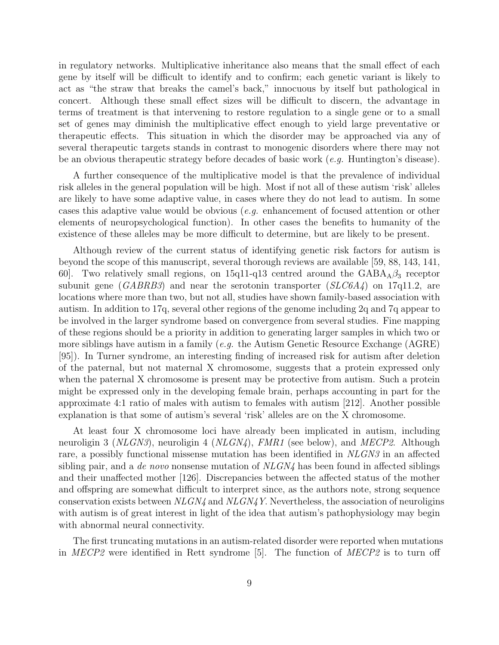in regulatory networks. Multiplicative inheritance also means that the small effect of each gene by itself will be difficult to identify and to confirm; each genetic variant is likely to act as "the straw that breaks the camel's back," innocuous by itself but pathological in concert. Although these small effect sizes will be difficult to discern, the advantage in terms of treatment is that intervening to restore regulation to a single gene or to a small set of genes may diminish the multiplicative effect enough to yield large preventative or therapeutic effects. This situation in which the disorder may be approached via any of several therapeutic targets stands in contrast to monogenic disorders where there may not be an obvious therapeutic strategy before decades of basic work (*e.g.* Huntington's disease).

A further consequence of the multiplicative model is that the prevalence of individual risk alleles in the general population will be high. Most if not all of these autism 'risk' alleles are likely to have some adaptive value, in cases where they do not lead to autism. In some cases this adaptive value would be obvious (*e.g.* enhancement of focused attention or other elements of neuropsychological function). In other cases the benefits to humanity of the existence of these alleles may be more difficult to determine, but are likely to be present.

Although review of the current status of identifying genetic risk factors for autism is beyond the scope of this manuscript, several thorough reviews are available [59, 88, 143, 141, 60]. Two relatively small regions, on 15q11-q13 centred around the  $GABA_A\beta_3$  receptor subunit gene (*GABRB3*) and near the serotonin transporter (*SLC6A4*) on 17q11.2, are locations where more than two, but not all, studies have shown family-based association with autism. In addition to 17q, several other regions of the genome including 2q and 7q appear to be involved in the larger syndrome based on convergence from several studies. Fine mapping of these regions should be a priority in addition to generating larger samples in which two or more siblings have autism in a family (*e.g.* the Autism Genetic Resource Exchange (AGRE) [95]). In Turner syndrome, an interesting finding of increased risk for autism after deletion of the paternal, but not maternal X chromosome, suggests that a protein expressed only when the paternal X chromosome is present may be protective from autism. Such a protein might be expressed only in the developing female brain, perhaps accounting in part for the approximate 4:1 ratio of males with autism to females with autism [212]. Another possible explanation is that some of autism's several 'risk' alleles are on the X chromosome.

At least four X chromosome loci have already been implicated in autism, including neuroligin 3 (*NLGN3*), neuroligin 4 (*NLGN4*), *FMR1* (see below), and *MECP2*. Although rare, a possibly functional missense mutation has been identified in *NLGN3* in an affected sibling pair, and a *de novo* nonsense mutation of *NLGN4* has been found in affected siblings and their unaffected mother [126]. Discrepancies between the affected status of the mother and offspring are somewhat difficult to interpret since, as the authors note, strong sequence conservation exists between *NLGN4* and *NLGN4Y*. Nevertheless, the association of neuroligins with autism is of great interest in light of the idea that autism's pathophysiology may begin with abnormal neural connectivity.

The first truncating mutations in an autism-related disorder were reported when mutations in *MECP2* were identified in Rett syndrome [5]. The function of *MECP2* is to turn off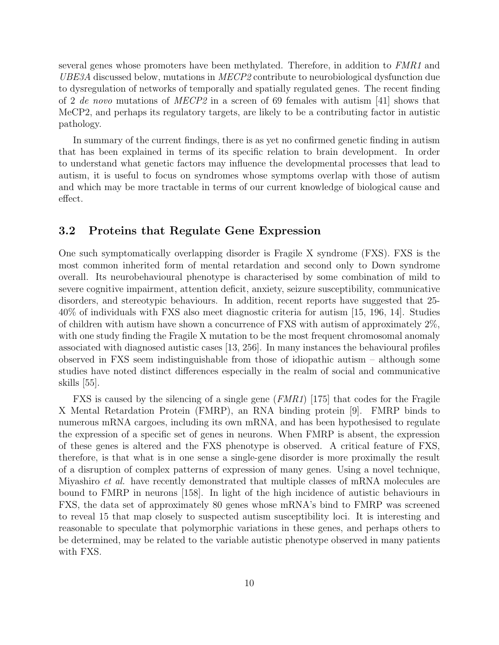several genes whose promoters have been methylated. Therefore, in addition to *FMR1* and *UBE3A* discussed below, mutations in *MECP2* contribute to neurobiological dysfunction due to dysregulation of networks of temporally and spatially regulated genes. The recent finding of 2 *de novo* mutations of *MECP2* in a screen of 69 females with autism [41] shows that MeCP2, and perhaps its regulatory targets, are likely to be a contributing factor in autistic pathology.

In summary of the current findings, there is as yet no confirmed genetic finding in autism that has been explained in terms of its specific relation to brain development. In order to understand what genetic factors may influence the developmental processes that lead to autism, it is useful to focus on syndromes whose symptoms overlap with those of autism and which may be more tractable in terms of our current knowledge of biological cause and effect.

#### **3.2 Proteins that Regulate Gene Expression**

One such symptomatically overlapping disorder is Fragile X syndrome (FXS). FXS is the most common inherited form of mental retardation and second only to Down syndrome overall. Its neurobehavioural phenotype is characterised by some combination of mild to severe cognitive impairment, attention deficit, anxiety, seizure susceptibility, communicative disorders, and stereotypic behaviours. In addition, recent reports have suggested that 25- 40% of individuals with FXS also meet diagnostic criteria for autism [15, 196, 14]. Studies of children with autism have shown a concurrence of FXS with autism of approximately 2%, with one study finding the Fragile X mutation to be the most frequent chromosomal anomaly associated with diagnosed autistic cases [13, 256]. In many instances the behavioural profiles observed in FXS seem indistinguishable from those of idiopathic autism – although some studies have noted distinct differences especially in the realm of social and communicative skills [55].

FXS is caused by the silencing of a single gene (*FMR1*) [175] that codes for the Fragile X Mental Retardation Protein (FMRP), an RNA binding protein [9]. FMRP binds to numerous mRNA cargoes, including its own mRNA, and has been hypothesised to regulate the expression of a specific set of genes in neurons. When FMRP is absent, the expression of these genes is altered and the FXS phenotype is observed. A critical feature of FXS, therefore, is that what is in one sense a single-gene disorder is more proximally the result of a disruption of complex patterns of expression of many genes. Using a novel technique, Miyashiro *et al.* have recently demonstrated that multiple classes of mRNA molecules are bound to FMRP in neurons [158]. In light of the high incidence of autistic behaviours in FXS, the data set of approximately 80 genes whose mRNA's bind to FMRP was screened to reveal 15 that map closely to suspected autism susceptibility loci. It is interesting and reasonable to speculate that polymorphic variations in these genes, and perhaps others to be determined, may be related to the variable autistic phenotype observed in many patients with FXS.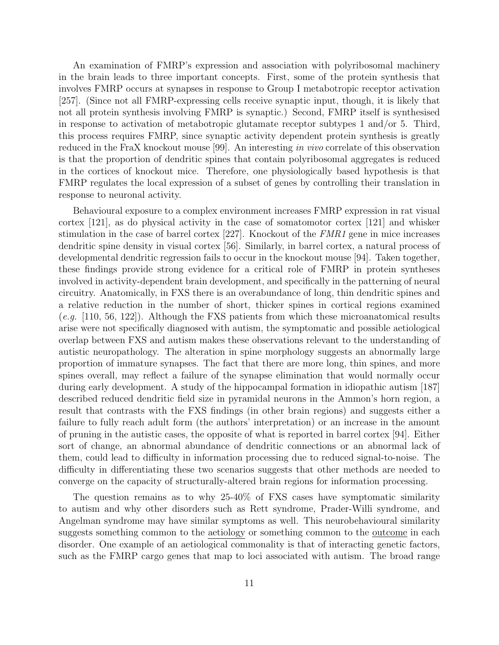An examination of FMRP's expression and association with polyribosomal machinery in the brain leads to three important concepts. First, some of the protein synthesis that involves FMRP occurs at synapses in response to Group I metabotropic receptor activation [257]. (Since not all FMRP-expressing cells receive synaptic input, though, it is likely that not all protein synthesis involving FMRP is synaptic.) Second, FMRP itself is synthesised in response to activation of metabotropic glutamate receptor subtypes 1 and/or 5. Third, this process requires FMRP, since synaptic activity dependent protein synthesis is greatly reduced in the FraX knockout mouse [99]. An interesting *in vivo* correlate of this observation is that the proportion of dendritic spines that contain polyribosomal aggregates is reduced in the cortices of knockout mice. Therefore, one physiologically based hypothesis is that FMRP regulates the local expression of a subset of genes by controlling their translation in response to neuronal activity.

Behavioural exposure to a complex environment increases FMRP expression in rat visual cortex  $[121]$ , as do physical activity in the case of somatomotor cortex  $[121]$  and whisker stimulation in the case of barrel cortex[227]. Knockout of the *FMR1* gene in mice increases dendritic spine density in visual cortex[56]. Similarly, in barrel cortex, a natural process of developmental dendritic regression fails to occur in the knockout mouse [94]. Taken together, these findings provide strong evidence for a critical role of FMRP in protein syntheses involved in activity-dependent brain development, and specifically in the patterning of neural circuitry. Anatomically, in FXS there is an overabundance of long, thin dendritic spines and a relative reduction in the number of short, thicker spines in cortical regions examined (*e.g.* [110, 56, 122]). Although the FXS patients from which these microanatomical results arise were not specifically diagnosed with autism, the symptomatic and possible aetiological overlap between FXS and autism makes these observations relevant to the understanding of autistic neuropathology. The alteration in spine morphology suggests an abnormally large proportion of immature synapses. The fact that there are more long, thin spines, and more spines overall, may reflect a failure of the synapse elimination that would normally occur during early development. A study of the hippocampal formation in idiopathic autism [187] described reduced dendritic field size in pyramidal neurons in the Ammon's horn region, a result that contrasts with the FXS findings (in other brain regions) and suggests either a failure to fully reach adult form (the authors' interpretation) or an increase in the amount of pruning in the autistic cases, the opposite of what is reported in barrel cortex[94]. Either sort of change, an abnormal abundance of dendritic connections or an abnormal lack of them, could lead to difficulty in information processing due to reduced signal-to-noise. The difficulty in differentiating these two scenarios suggests that other methods are needed to converge on the capacity of structurally-altered brain regions for information processing.

The question remains as to why 25-40% of FXS cases have symptomatic similarity to autism and why other disorders such as Rett syndrome, Prader-Willi syndrome, and Angelman syndrome may have similar symptoms as well. This neurobehavioural similarity suggests something common to the aetiology or something common to the <u>outcome</u> in each disorder. One example of an aetiological commonality is that of interacting genetic factors, such as the FMRP cargo genes that map to loci associated with autism. The broad range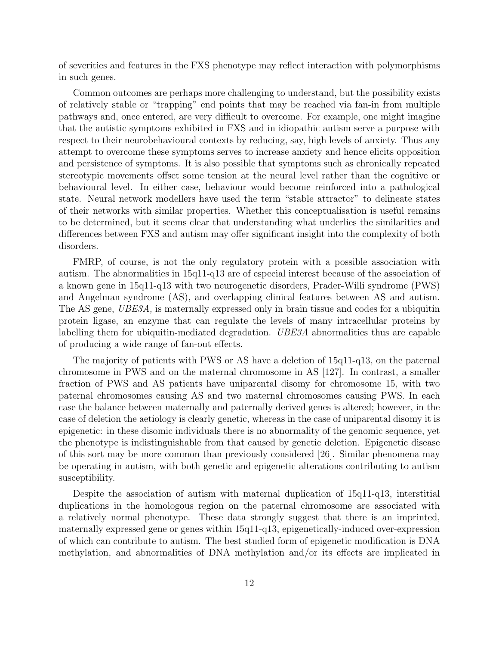of severities and features in the FXS phenotype may reflect interaction with polymorphisms in such genes.

Common outcomes are perhaps more challenging to understand, but the possibility exists of relatively stable or "trapping" end points that may be reached via fan-in from multiple pathways and, once entered, are very difficult to overcome. For example, one might imagine that the autistic symptoms exhibited in FXS and in idiopathic autism serve a purpose with respect to their neurobehavioural contexts by reducing, say, high levels of anxiety. Thus any attempt to overcome these symptoms serves to increase anxiety and hence elicits opposition and persistence of symptoms. It is also possible that symptoms such as chronically repeated stereotypic movements offset some tension at the neural level rather than the cognitive or behavioural level. In either case, behaviour would become reinforced into a pathological state. Neural network modellers have used the term "stable attractor" to delineate states of their networks with similar properties. Whether this conceptualisation is useful remains to be determined, but it seems clear that understanding what underlies the similarities and differences between FXS and autism may offer significant insight into the complexity of both disorders.

FMRP, of course, is not the only regulatory protein with a possible association with autism. The abnormalities in 15q11-q13 are of especial interest because of the association of a known gene in 15q11-q13 with two neurogenetic disorders, Prader-Willi syndrome (PWS) and Angelman syndrome (AS), and overlapping clinical features between AS and autism. The AS gene, *UBE3A,* is maternally expressed only in brain tissue and codes for a ubiquitin protein ligase, an enzyme that can regulate the levels of many intracellular proteins by labelling them for ubiquitin-mediated degradation. *UBE3A* abnormalities thus are capable of producing a wide range of fan-out effects.

The majority of patients with PWS or AS have a deletion of 15q11-q13, on the paternal chromosome in PWS and on the maternal chromosome in AS [127]. In contrast, a smaller fraction of PWS and AS patients have uniparental disomy for chromosome 15, with two paternal chromosomes causing AS and two maternal chromosomes causing PWS. In each case the balance between maternally and paternally derived genes is altered; however, in the case of deletion the aetiology is clearly genetic, whereas in the case of uniparental disomy it is epigenetic: in these disomic individuals there is no abnormality of the genomic sequence, yet the phenotype is indistinguishable from that caused by genetic deletion. Epigenetic disease of this sort may be more common than previously considered [26]. Similar phenomena may be operating in autism, with both genetic and epigenetic alterations contributing to autism susceptibility.

Despite the association of autism with maternal duplication of 15q11-q13, interstitial duplications in the homologous region on the paternal chromosome are associated with a relatively normal phenotype. These data strongly suggest that there is an imprinted, maternally expressed gene or genes within 15q11-q13, epigenetically-induced over-expression of which can contribute to autism. The best studied form of epigenetic modification is DNA methylation, and abnormalities of DNA methylation and/or its effects are implicated in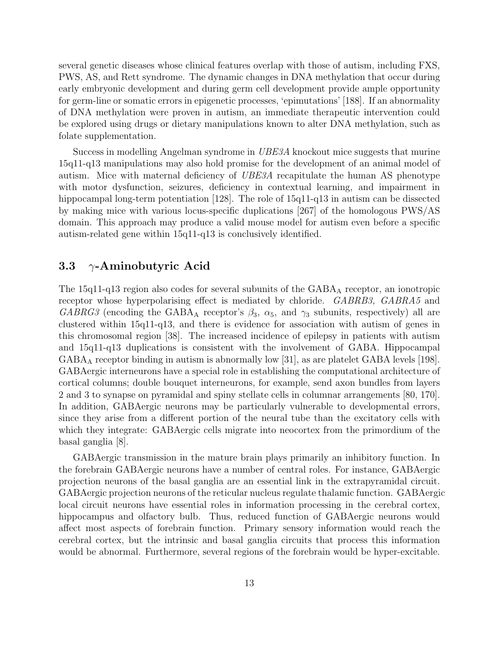several genetic diseases whose clinical features overlap with those of autism, including FXS, PWS, AS, and Rett syndrome. The dynamic changes in DNA methylation that occur during early embryonic development and during germ cell development provide ample opportunity for germ-line or somatic errors in epigenetic processes, 'epimutations' [188]. If an abnormality of DNA methylation were proven in autism, an immediate therapeutic intervention could be explored using drugs or dietary manipulations known to alter DNA methylation, such as folate supplementation.

Success in modelling Angelman syndrome in *UBE3A* knockout mice suggests that murine 15q11-q13 manipulations may also hold promise for the development of an animal model of autism. Mice with maternal deficiency of *UBE3A* recapitulate the human AS phenotype with motor dysfunction, seizures, deficiency in contextual learning, and impairment in hippocampal long-term potentiation [128]. The role of 15q11-q13 in autism can be dissected by making mice with various locus-specific duplications [267] of the homologous PWS/AS domain. This approach may produce a valid mouse model for autism even before a specific autism-related gene within 15q11-q13 is conclusively identified.

### **3.3** γ**-Aminobutyric Acid**

The  $15q11-q13$  region also codes for several subunits of the  $GABA_A$  receptor, an ionotropic receptor whose hyperpolarising effect is mediated by chloride. *GABRB3, GABRA5* and *GABRG3* (encoding the GABA<sub>A</sub> receptor's  $\beta_3$ ,  $\alpha_5$ , and  $\gamma_3$  subunits, respectively) all are clustered within 15q11-q13, and there is evidence for association with autism of genes in this chromosomal region [38]. The increased incidence of epilepsy in patients with autism and 15q11-q13 duplications is consistent with the involvement of GABA. Hippocampal  $GABA_A$  receptor binding in autism is abnormally low [31], as are platelet GABA levels [198]. GABAergic interneurons have a special role in establishing the computational architecture of cortical columns; double bouquet interneurons, for example, send axon bundles from layers 2 and 3 to synapse on pyramidal and spiny stellate cells in columnar arrangements [80, 170]. In addition, GABAergic neurons may be particularly vulnerable to developmental errors, since they arise from a different portion of the neural tube than the excitatory cells with which they integrate: GABAergic cells migrate into neocortex from the primordium of the basal ganglia [8].

GABAergic transmission in the mature brain plays primarily an inhibitory function. In the forebrain GABAergic neurons have a number of central roles. For instance, GABAergic projection neurons of the basal ganglia are an essential link in the extrapyramidal circuit. GABAergic projection neurons of the reticular nucleus regulate thalamic function. GABAergic local circuit neurons have essential roles in information processing in the cerebral cortex, hippocampus and olfactory bulb. Thus, reduced function of GABAergic neurons would affect most aspects of forebrain function. Primary sensory information would reach the cerebral cortex, but the intrinsic and basal ganglia circuits that process this information would be abnormal. Furthermore, several regions of the forebrain would be hyper-excitable.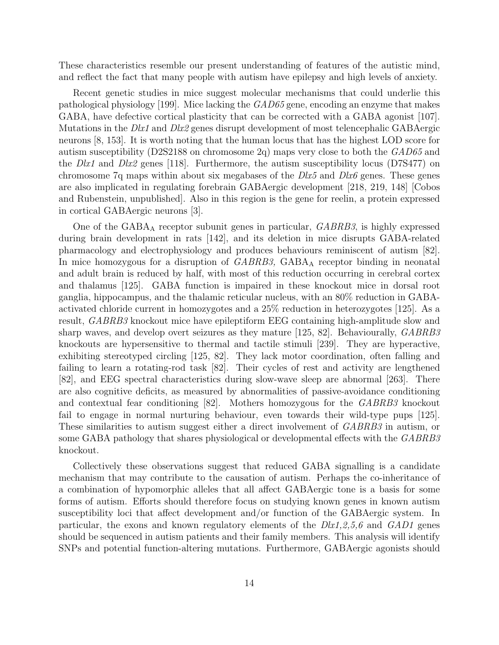These characteristics resemble our present understanding of features of the autistic mind, and reflect the fact that many people with autism have epilepsy and high levels of anxiety.

Recent genetic studies in mice suggest molecular mechanisms that could underlie this pathological physiology [199]. Mice lacking the *GAD65* gene, encoding an enzyme that makes GABA, have defective cortical plasticity that can be corrected with a GABA agonist [107]. Mutations in the *Dlx1* and *Dlx2* genes disrupt development of most telencephalic GABAergic neurons [8, 153]. It is worth noting that the human locus that has the highest LOD score for autism susceptibility (D2S2188 on chromosome 2q) maps very close to both the *GAD65* and the *Dlx1* and *Dlx2* genes [118]. Furthermore, the autism susceptibility locus (D7S477) on chromosome 7q maps within about six megabases of the *Dlx5* and *Dlx6* genes. These genes are also implicated in regulating forebrain GABAergic development [218, 219, 148] [Cobos and Rubenstein, unpublished]. Also in this region is the gene for reelin, a protein expressed in cortical GABAergic neurons [3].

One of the GABA<sup>A</sup> receptor subunit genes in particular, *GABRB3*, is highly expressed during brain development in rats [142], and its deletion in mice disrupts GABA-related pharmacology and electrophysiology and produces behaviours reminiscent of autism [82]. In mice homozygous for a disruption of *GABRB3*, GABA<sub>A</sub> receptor binding in neonatal and adult brain is reduced by half, with most of this reduction occurring in cerebral cortex and thalamus [125]. GABA function is impaired in these knockout mice in dorsal root ganglia, hippocampus, and the thalamic reticular nucleus, with an 80% reduction in GABAactivated chloride current in homozygotes and a 25% reduction in heterozygotes [125]. As a result, *GABRB3* knockout mice have epileptiform EEG containing high-amplitude slow and sharp waves, and develop overt seizures as they mature [125, 82]. Behaviourally, *GABRB3* knockouts are hypersensitive to thermal and tactile stimuli [239]. They are hyperactive, exhibiting stereotyped circling [125, 82]. They lack motor coordination, often falling and failing to learn a rotating-rod task [82]. Their cycles of rest and activity are lengthened [82], and EEG spectral characteristics during slow-wave sleep are abnormal [263]. There are also cognitive deficits, as measured by abnormalities of passive-avoidance conditioning and contextual fear conditioning [82]. Mothers homozygous for the *GABRB3* knockout fail to engage in normal nurturing behaviour, even towards their wild-type pups [125]. These similarities to autism suggest either a direct involvement of *GABRB3* in autism, or some GABA pathology that shares physiological or developmental effects with the *GABRB3* knockout.

Collectively these observations suggest that reduced GABA signalling is a candidate mechanism that may contribute to the causation of autism. Perhaps the co-inheritance of a combination of hypomorphic alleles that all affect GABAergic tone is a basis for some forms of autism. Efforts should therefore focus on studying known genes in known autism susceptibility loci that affect development and/or function of the GABAergic system. In particular, the exons and known regulatory elements of the *Dlx1,2,5,6* and *GAD1* genes should be sequenced in autism patients and their family members. This analysis will identify SNPs and potential function-altering mutations. Furthermore, GABAergic agonists should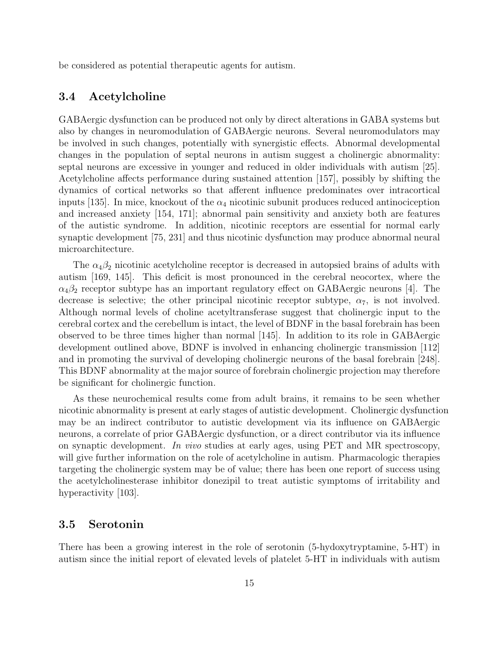be considered as potential therapeutic agents for autism.

#### **3.4 Acetylcholine**

GABAergic dysfunction can be produced not only by direct alterations in GABA systems but also by changes in neuromodulation of GABAergic neurons. Several neuromodulators may be involved in such changes, potentially with synergistic effects. Abnormal developmental changes in the population of septal neurons in autism suggest a cholinergic abnormality: septal neurons are excessive in younger and reduced in older individuals with autism [25]. Acetylcholine affects performance during sustained attention [157], possibly by shifting the dynamics of cortical networks so that afferent influence predominates over intracortical inputs [135]. In mice, knockout of the  $\alpha_4$  nicotinic subunit produces reduced antinociception and increased anxiety [154, 171]; abnormal pain sensitivity and anxiety both are features of the autistic syndrome. In addition, nicotinic receptors are essential for normal early synaptic development [75, 231] and thus nicotinic dysfunction may produce abnormal neural microarchitecture.

The  $\alpha_4\beta_2$  nicotinic acetylcholine receptor is decreased in autopsied brains of adults with autism [169, 145]. This deficit is most pronounced in the cerebral neocortex, where the  $\alpha_4\beta_2$  receptor subtype has an important regulatory effect on GABA ergic neurons [4]. The decrease is selective; the other principal nicotinic receptor subtype,  $\alpha_7$ , is not involved. Although normal levels of choline acetyltransferase suggest that cholinergic input to the cerebral cortexand the cerebellum is intact, the level of BDNF in the basal forebrain has been observed to be three times higher than normal [145]. In addition to its role in GABAergic development outlined above, BDNF is involved in enhancing cholinergic transmission [112] and in promoting the survival of developing cholinergic neurons of the basal forebrain [248]. This BDNF abnormality at the major source of forebrain cholinergic projection may therefore be significant for cholinergic function.

As these neurochemical results come from adult brains, it remains to be seen whether nicotinic abnormality is present at early stages of autistic development. Cholinergic dysfunction may be an indirect contributor to autistic development via its influence on GABAergic neurons, a correlate of prior GABAergic dysfunction, or a direct contributor via its influence on synaptic development. *In vivo* studies at early ages, using PET and MR spectroscopy, will give further information on the role of acetylcholine in autism. Pharmacologic therapies targeting the cholinergic system may be of value; there has been one report of success using the acetylcholinesterase inhibitor donezipil to treat autistic symptoms of irritability and hyperactivity [103].

#### **3.5 Serotonin**

There has been a growing interest in the role of serotonin (5-hydoxytryptamine, 5-HT) in autism since the initial report of elevated levels of platelet 5-HT in individuals with autism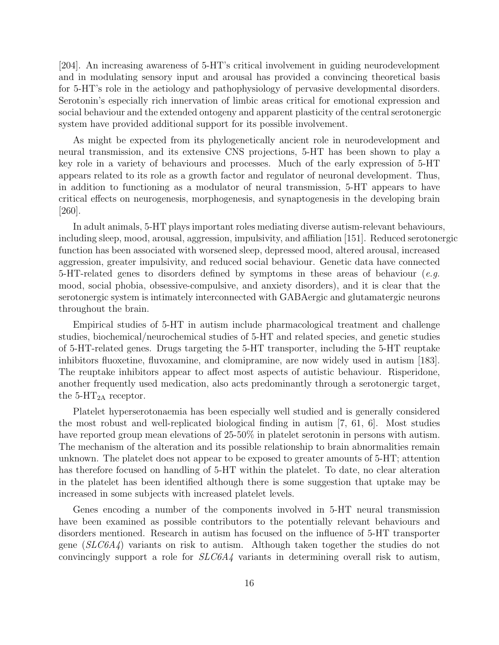[204]. An increasing awareness of 5-HT's critical involvement in guiding neurodevelopment and in modulating sensory input and arousal has provided a convincing theoretical basis for 5-HT's role in the aetiology and pathophysiology of pervasive developmental disorders. Serotonin's especially rich innervation of limbic areas critical for emotional expression and social behaviour and the extended ontogeny and apparent plasticity of the central serotonergic system have provided additional support for its possible involvement.

As might be expected from its phylogenetically ancient role in neurodevelopment and neural transmission, and its extensive CNS projections, 5-HT has been shown to play a key role in a variety of behaviours and processes. Much of the early expression of 5-HT appears related to its role as a growth factor and regulator of neuronal development. Thus, in addition to functioning as a modulator of neural transmission, 5-HT appears to have critical effects on neurogenesis, morphogenesis, and synaptogenesis in the developing brain [260].

In adult animals, 5-HT plays important roles mediating diverse autism-relevant behaviours, including sleep, mood, arousal, aggression, impulsivity, and affiliation [151]. Reduced serotonergic function has been associated with worsened sleep, depressed mood, altered arousal, increased aggression, greater impulsivity, and reduced social behaviour. Genetic data have connected 5-HT-related genes to disorders defined by symptoms in these areas of behaviour (*e.g.* mood, social phobia, obsessive-compulsive, and anxiety disorders), and it is clear that the serotonergic system is intimately interconnected with GABAergic and glutamatergic neurons throughout the brain.

Empirical studies of 5-HT in autism include pharmacological treatment and challenge studies, biochemical/neurochemical studies of 5-HT and related species, and genetic studies of 5-HT-related genes. Drugs targeting the 5-HT transporter, including the 5-HT reuptake inhibitors fluoxetine, fluvoxamine, and clomipramine, are now widely used in autism [183]. The reuptake inhibitors appear to affect most aspects of autistic behaviour. Risperidone, another frequently used medication, also acts predominantly through a serotonergic target, the 5- $HT_{2A}$  receptor.

Platelet hyperserotonaemia has been especially well studied and is generally considered the most robust and well-replicated biological finding in autism [7, 61, 6]. Most studies have reported group mean elevations of 25-50% in platelet serotonin in persons with autism. The mechanism of the alteration and its possible relationship to brain abnormalities remain unknown. The platelet does not appear to be exposed to greater amounts of 5-HT; attention has therefore focused on handling of 5-HT within the platelet. To date, no clear alteration in the platelet has been identified although there is some suggestion that uptake may be increased in some subjects with increased platelet levels.

Genes encoding a number of the components involved in 5-HT neural transmission have been examined as possible contributors to the potentially relevant behaviours and disorders mentioned. Research in autism has focused on the influence of 5-HT transporter gene (*SLC6A4*) variants on risk to autism. Although taken together the studies do not convincingly support a role for *SLC6A4* variants in determining overall risk to autism,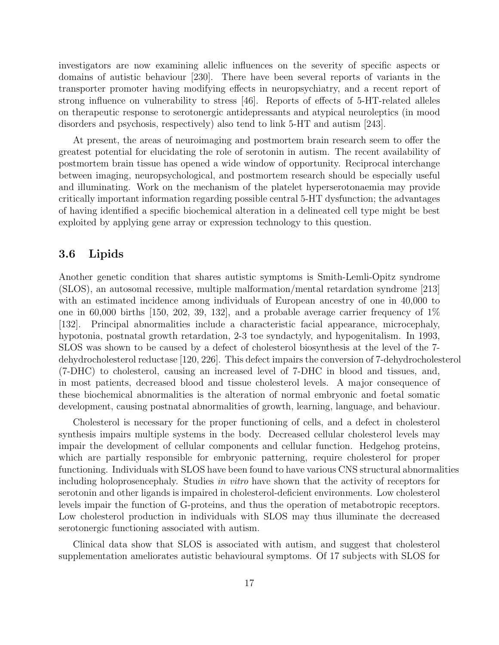investigators are now examining allelic influences on the severity of specific aspects or domains of autistic behaviour [230]. There have been several reports of variants in the transporter promoter having modifying effects in neuropsychiatry, and a recent report of strong influence on vulnerability to stress [46]. Reports of effects of 5-HT-related alleles on therapeutic response to serotonergic antidepressants and atypical neuroleptics (in mood disorders and psychosis, respectively) also tend to link 5-HT and autism [243].

At present, the areas of neuroimaging and postmortem brain research seem to offer the greatest potential for elucidating the role of serotonin in autism. The recent availability of postmortem brain tissue has opened a wide window of opportunity. Reciprocal interchange between imaging, neuropsychological, and postmortem research should be especially useful and illuminating. Work on the mechanism of the platelet hyperserotonaemia may provide critically important information regarding possible central 5-HT dysfunction; the advantages of having identified a specific biochemical alteration in a delineated cell type might be best exploited by applying gene array or expression technology to this question.

#### **3.6 Lipids**

Another genetic condition that shares autistic symptoms is Smith-Lemli-Opitz syndrome (SLOS), an autosomal recessive, multiple malformation/mental retardation syndrome [213] with an estimated incidence among individuals of European ancestry of one in 40,000 to one in 60,000 births [150, 202, 39, 132], and a probable average carrier frequency of  $1\%$ [132]. Principal abnormalities include a characteristic facial appearance, microcephaly, hypotonia, postnatal growth retardation, 2-3 toe syndactyly, and hypogenitalism. In 1993, SLOS was shown to be caused by a defect of cholesterol biosynthesis at the level of the 7 dehydrocholesterol reductase [120, 226]. This defect impairs the conversion of 7-dehydrocholesterol (7-DHC) to cholesterol, causing an increased level of 7-DHC in blood and tissues, and, in most patients, decreased blood and tissue cholesterol levels. A major consequence of these biochemical abnormalities is the alteration of normal embryonic and foetal somatic development, causing postnatal abnormalities of growth, learning, language, and behaviour.

Cholesterol is necessary for the proper functioning of cells, and a defect in cholesterol synthesis impairs multiple systems in the body. Decreased cellular cholesterol levels may impair the development of cellular components and cellular function. Hedgehog proteins, which are partially responsible for embryonic patterning, require cholesterol for proper functioning. Individuals with SLOS have been found to have various CNS structural abnormalities including holoprosencephaly. Studies *in vitro* have shown that the activity of receptors for serotonin and other ligands is impaired in cholesterol-deficient environments. Low cholesterol levels impair the function of G-proteins, and thus the operation of metabotropic receptors. Low cholesterol production in individuals with SLOS may thus illuminate the decreased serotonergic functioning associated with autism.

Clinical data show that SLOS is associated with autism, and suggest that cholesterol supplementation ameliorates autistic behavioural symptoms. Of 17 subjects with SLOS for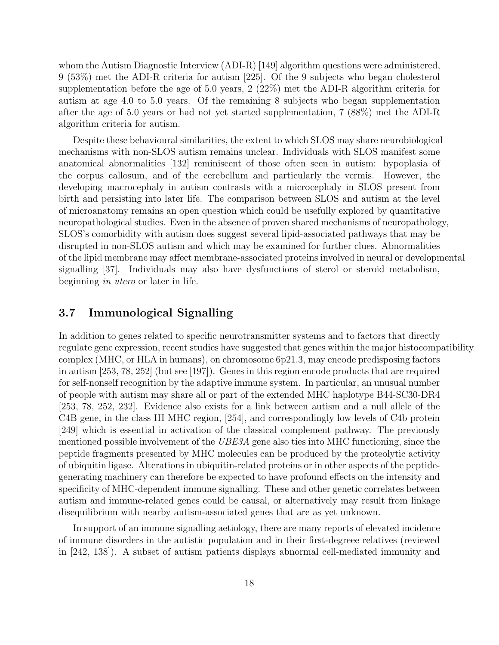whom the Autism Diagnostic Interview (ADI-R) [149] algorithm questions were administered, 9 (53%) met the ADI-R criteria for autism [225]. Of the 9 subjects who began cholesterol supplementation before the age of 5.0 years, 2 (22%) met the ADI-R algorithm criteria for autism at age 4.0 to 5.0 years. Of the remaining 8 subjects who began supplementation after the age of 5.0 years or had not yet started supplementation, 7 (88%) met the ADI-R algorithm criteria for autism.

Despite these behavioural similarities, the extent to which SLOS may share neurobiological mechanisms with non-SLOS autism remains unclear. Individuals with SLOS manifest some anatomical abnormalities [132] reminiscent of those often seen in autism: hypoplasia of the corpus callosum, and of the cerebellum and particularly the vermis. However, the developing macrocephaly in autism contrasts with a microcephaly in SLOS present from birth and persisting into later life. The comparison between SLOS and autism at the level of microanatomy remains an open question which could be usefully explored by quantitative neuropathological studies. Even in the absence of proven shared mechanisms of neuropathology, SLOS's comorbidity with autism does suggest several lipid-associated pathways that may be disrupted in non-SLOS autism and which may be examined for further clues. Abnormalities of the lipid membrane may affect membrane-associated proteins involved in neural or developmental signalling [37]. Individuals may also have dysfunctions of sterol or steroid metabolism, beginning *in utero* or later in life.

#### **3.7 Immunological Signalling**

In addition to genes related to specific neurotransmitter systems and to factors that directly regulate gene expression, recent studies have suggested that genes within the major histocompatibility complex(MHC, or HLA in humans), on chromosome 6p21.3, may encode predisposing factors in autism [253, 78, 252] (but see [197]). Genes in this region encode products that are required for self-nonself recognition by the adaptive immune system. In particular, an unusual number of people with autism may share all or part of the extended MHC haplotype B44-SC30-DR4 [253, 78, 252, 232]. Evidence also exists for a link between autism and a null allele of the C4B gene, in the class III MHC region, [254], and correspondingly low levels of C4b protein [249] which is essential in activation of the classical complement pathway. The previously mentioned possible involvement of the *UBE3A* gene also ties into MHC functioning, since the peptide fragments presented by MHC molecules can be produced by the proteolytic activity of ubiquitin ligase. Alterations in ubiquitin-related proteins or in other aspects of the peptidegenerating machinery can therefore be expected to have profound effects on the intensity and specificity of MHC-dependent immune signalling. These and other genetic correlates between autism and immune-related genes could be causal, or alternatively may result from linkage disequilibrium with nearby autism-associated genes that are as yet unknown.

In support of an immune signalling aetiology, there are many reports of elevated incidence of immune disorders in the autistic population and in their first-degreee relatives (reviewed in [242, 138]). A subset of autism patients displays abnormal cell-mediated immunity and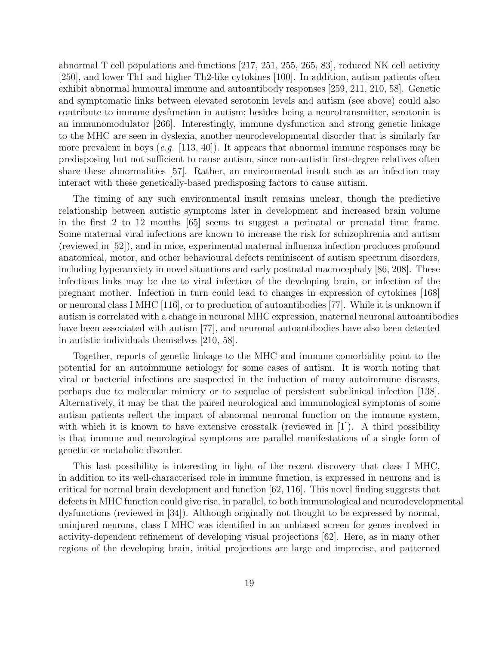abnormal T cell populations and functions [217, 251, 255, 265, 83], reduced NK cell activity [250], and lower Th1 and higher Th2-like cytokines [100]. In addition, autism patients often exhibit abnormal humoural immune and autoantibody responses [259, 211, 210, 58]. Genetic and symptomatic links between elevated serotonin levels and autism (see above) could also contribute to immune dysfunction in autism; besides being a neurotransmitter, serotonin is an immunomodulator [266]. Interestingly, immune dysfunction and strong genetic linkage to the MHC are seen in dyslexia, another neurodevelopmental disorder that is similarly far more prevalent in boys (*e.g.* [113, 40]). It appears that abnormal immune responses may be predisposing but not sufficient to cause autism, since non-autistic first-degree relatives often share these abnormalities [57]. Rather, an environmental insult such as an infection may interact with these genetically-based predisposing factors to cause autism.

The timing of any such environmental insult remains unclear, though the predictive relationship between autistic symptoms later in development and increased brain volume in the first 2 to 12 months [65] seems to suggest a perinatal or prenatal time frame. Some maternal viral infections are known to increase the risk for schizophrenia and autism (reviewed in [52]), and in mice, experimental maternal influenza infection produces profound anatomical, motor, and other behavioural defects reminiscent of autism spectrum disorders, including hyperanxiety in novel situations and early postnatal macrocephaly [86, 208]. These infectious links may be due to viral infection of the developing brain, or infection of the pregnant mother. Infection in turn could lead to changes in expression of cytokines [168] or neuronal class I MHC [116], or to production of autoantibodies [77]. While it is unknown if autism is correlated with a change in neuronal MHC expression, maternal neuronal autoantibodies have been associated with autism [77], and neuronal autoantibodies have also been detected in autistic individuals themselves [210, 58].

Together, reports of genetic linkage to the MHC and immune comorbidity point to the potential for an autoimmune aetiology for some cases of autism. It is worth noting that viral or bacterial infections are suspected in the induction of many autoimmune diseases, perhaps due to molecular mimicry or to sequelae of persistent subclinical infection [138]. Alternatively, it may be that the paired neurological and immunological symptoms of some autism patients reflect the impact of abnormal neuronal function on the immune system, with which it is known to have extensive crosstalk (reviewed in  $[1]$ ). A third possibility is that immune and neurological symptoms are parallel manifestations of a single form of genetic or metabolic disorder.

This last possibility is interesting in light of the recent discovery that class I MHC, in addition to its well-characterised role in immune function, is expressed in neurons and is critical for normal brain development and function [62, 116]. This novel finding suggests that defects in MHC function could give rise, in parallel, to both immunological and neurodevelopmental dysfunctions (reviewed in [34]). Although originally not thought to be expressed by normal, uninjured neurons, class I MHC was identified in an unbiased screen for genes involved in activity-dependent refinement of developing visual projections [62]. Here, as in many other regions of the developing brain, initial projections are large and imprecise, and patterned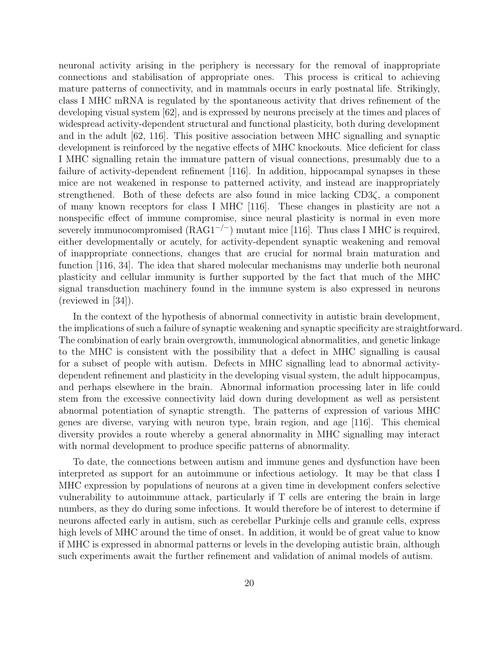neuronal activity arising in the periphery is necessary for the removal of inappropriate connections and stabilisation of appropriate ones. This process is critical to achieving mature patterns of connectivity, and in mammals occurs in early postnatal life. Strikingly, class I MHC mRNA is regulated by the spontaneous activity that drives refinement of the developing visual system [62], and is expressed by neurons precisely at the times and places of widespread activity-dependent structural and functional plasticity, both during development and in the adult [62, 116]. This positive association between MHC signalling and synaptic development is reinforced by the negative effects of MHC knockouts. Mice deficient for class I MHC signalling retain the immature pattern of visual connections, presumably due to a failure of activity-dependent refinement [116]. In addition, hippocampal synapses in these mice are not weakened in response to patterned activity, and instead are inappropriately strengthened. Both of these defects are also found in mice lacking CD3ζ, a component of many known receptors for class I MHC [116]. These changes in plasticity are not a nonspecific effect of immune compromise, since neural plasticity is normal in even more severely immunocompromised (RAG1<sup>-/−</sup>) mutant mice [116]. Thus class I MHC is required, either developmentally or acutely, for activity-dependent synaptic weakening and removal of inappropriate connections, changes that are crucial for normal brain maturation and function [116, 34]. The idea that shared molecular mechanisms may underlie both neuronal plasticity and cellular immunity is further supported by the fact that much of the MHC signal transduction machinery found in the immune system is also expressed in neurons (reviewed in [34]).

In the context of the hypothesis of abnormal connectivity in autistic brain development, the implications of such a failure of synaptic weakening and synaptic specificity are straightforward. The combination of early brain overgrowth, immunological abnormalities, and genetic linkage to the MHC is consistent with the possibility that a defect in MHC signalling is causal for a subset of people with autism. Defects in MHC signalling lead to abnormal activitydependent refinement and plasticity in the developing visual system, the adult hippocampus, and perhaps elsewhere in the brain. Abnormal information processing later in life could stem from the excessive connectivity laid down during development as well as persistent abnormal potentiation of synaptic strength. The patterns of expression of various MHC genes are diverse, varying with neuron type, brain region, and age [116]. This chemical diversity provides a route whereby a general abnormality in MHC signalling may interact with normal development to produce specific patterns of abnormality.

To date, the connections between autism and immune genes and dysfunction have been interpreted as support for an autoimmune or infectious aetiology. It may be that class I MHC expression by populations of neurons at a given time in development confers selective vulnerability to autoimmune attack, particularly if T cells are entering the brain in large numbers, as they do during some infections. It would therefore be of interest to determine if neurons affected early in autism, such as cerebellar Purkinje cells and granule cells, express high levels of MHC around the time of onset. In addition, it would be of great value to know if MHC is expressed in abnormal patterns or levels in the developing autistic brain, although such experiments await the further refinement and validation of animal models of autism.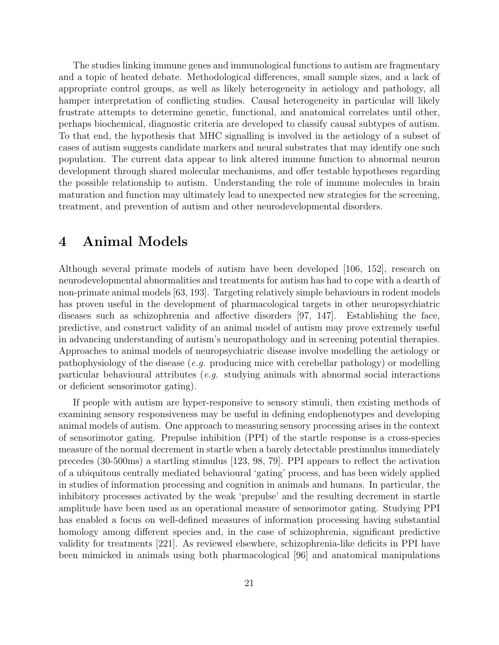The studies linking immune genes and immunological functions to autism are fragmentary and a topic of heated debate. Methodological differences, small sample sizes, and a lack of appropriate control groups, as well as likely heterogeneity in aetiology and pathology, all hamper interpretation of conflicting studies. Causal heterogeneity in particular will likely frustrate attempts to determine genetic, functional, and anatomical correlates until other, perhaps biochemical, diagnostic criteria are developed to classify causal subtypes of autism. To that end, the hypothesis that MHC signalling is involved in the aetiology of a subset of cases of autism suggests candidate markers and neural substrates that may identify one such population. The current data appear to link altered immune function to abnormal neuron development through shared molecular mechanisms, and offer testable hypotheses regarding the possible relationship to autism. Understanding the role of immune molecules in brain maturation and function may ultimately lead to unexpected new strategies for the screening, treatment, and prevention of autism and other neurodevelopmental disorders.

## **4 Animal Models**

Although several primate models of autism have been developed [106, 152], research on neurodevelopmental abnormalities and treatments for autism has had to cope with a dearth of non-primate animal models [63, 193]. Targeting relatively simple behaviours in rodent models has proven useful in the development of pharmacological targets in other neuropsychiatric diseases such as schizophrenia and affective disorders [97, 147]. Establishing the face, predictive, and construct validity of an animal model of autism may prove extremely useful in advancing understanding of autism's neuropathology and in screening potential therapies. Approaches to animal models of neuropsychiatric disease involve modelling the aetiology or pathophysiology of the disease (*e.g.* producing mice with cerebellar pathology) or modelling particular behavioural attributes (*e.g.* studying animals with abnormal social interactions or deficient sensorimotor gating).

If people with autism are hyper-responsive to sensory stimuli, then existing methods of examining sensory responsiveness may be useful in defining endophenotypes and developing animal models of autism. One approach to measuring sensory processing arises in the context of sensorimotor gating. Prepulse inhibition (PPI) of the startle response is a cross-species measure of the normal decrement in startle when a barely detectable prestimulus immediately precedes (30-500ms) a startling stimulus [123, 98, 79]. PPI appears to reflect the activation of a ubiquitous centrally mediated behavioural 'gating' process, and has been widely applied in studies of information processing and cognition in animals and humans. In particular, the inhibitory processes activated by the weak 'prepulse' and the resulting decrement in startle amplitude have been used as an operational measure of sensorimotor gating. Studying PPI has enabled a focus on well-defined measures of information processing having substantial homology among different species and, in the case of schizophrenia, significant predictive validity for treatments [221]. As reviewed elsewhere, schizophrenia-like deficits in PPI have been mimicked in animals using both pharmacological [96] and anatomical manipulations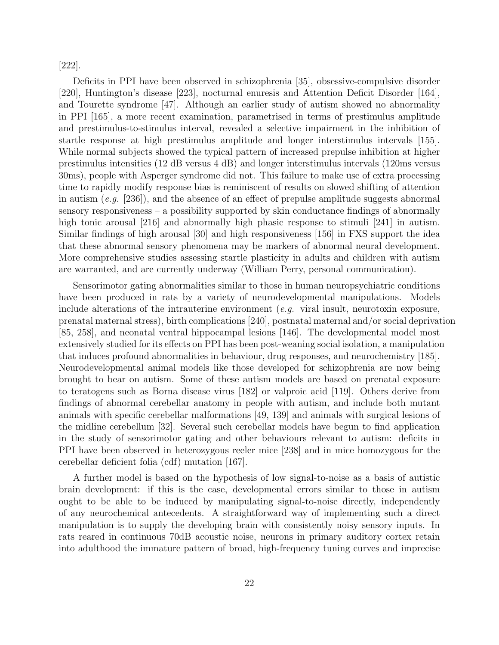[222].

Deficits in PPI have been observed in schizophrenia [35], obsessive-compulsive disorder [220], Huntington's disease [223], nocturnal enuresis and Attention Deficit Disorder [164], and Tourette syndrome [47]. Although an earlier study of autism showed no abnormality in PPI [165], a more recent examination, parametrised in terms of prestimulus amplitude and prestimulus-to-stimulus interval, revealed a selective impairment in the inhibition of startle response at high prestimulus amplitude and longer interstimulus intervals [155]. While normal subjects showed the typical pattern of increased prepulse inhibition at higher prestimulus intensities (12 dB versus 4 dB) and longer interstimulus intervals (120ms versus 30ms), people with Asperger syndrome did not. This failure to make use of extra processing time to rapidly modify response bias is reminiscent of results on slowed shifting of attention in autism (*e.g.* [236]), and the absence of an effect of prepulse amplitude suggests abnormal sensory responsiveness – a possibility supported by skin conductance findings of abnormally high tonic arousal [216] and abnormally high phasic response to stimuli [241] in autism. Similar findings of high arousal [30] and high responsiveness [156] in FXS support the idea that these abnormal sensory phenomena may be markers of abnormal neural development. More comprehensive studies assessing startle plasticity in adults and children with autism are warranted, and are currently underway (William Perry, personal communication).

Sensorimotor gating abnormalities similar to those in human neuropsychiatric conditions have been produced in rats by a variety of neurodevelopmental manipulations. Models include alterations of the intrauterine environment (*e.g.* viral insult, neurotoxin exposure, prenatal maternal stress), birth complications [240], postnatal maternal and/or social deprivation [85, 258], and neonatal ventral hippocampal lesions [146]. The developmental model most extensively studied for its effects on PPI has been post-weaning social isolation, a manipulation that induces profound abnormalities in behaviour, drug responses, and neurochemistry [185]. Neurodevelopmental animal models like those developed for schizophrenia are now being brought to bear on autism. Some of these autism models are based on prenatal exposure to teratogens such as Borna disease virus [182] or valproic acid [119]. Others derive from findings of abnormal cerebellar anatomy in people with autism, and include both mutant animals with specific cerebellar malformations [49, 139] and animals with surgical lesions of the midline cerebellum [32]. Several such cerebellar models have begun to find application in the study of sensorimotor gating and other behaviours relevant to autism: deficits in PPI have been observed in heterozygous reeler mice [238] and in mice homozygous for the cerebellar deficient folia (cdf) mutation [167].

A further model is based on the hypothesis of low signal-to-noise as a basis of autistic brain development: if this is the case, developmental errors similar to those in autism ought to be able to be induced by manipulating signal-to-noise directly, independently of any neurochemical antecedents. A straightforward way of implementing such a direct manipulation is to supply the developing brain with consistently noisy sensory inputs. In rats reared in continuous 70dB acoustic noise, neurons in primary auditory cortex retain into adulthood the immature pattern of broad, high-frequency tuning curves and imprecise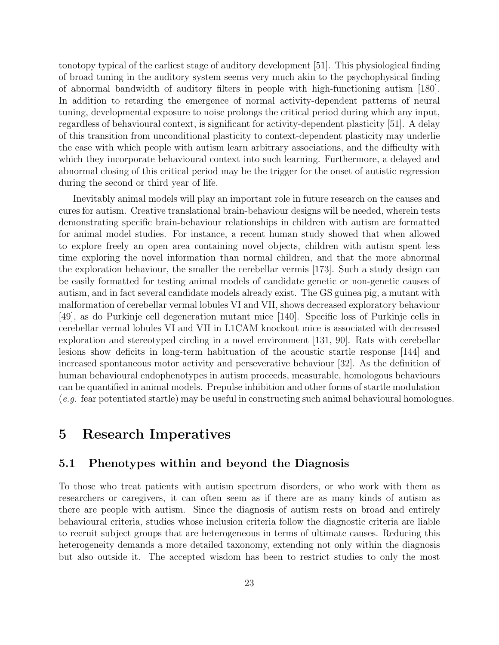tonotopy typical of the earliest stage of auditory development [51]. This physiological finding of broad tuning in the auditory system seems very much akin to the psychophysical finding of abnormal bandwidth of auditory filters in people with high-functioning autism [180]. In addition to retarding the emergence of normal activity-dependent patterns of neural tuning, developmental exposure to noise prolongs the critical period during which any input, regardless of behavioural context, is significant for activity-dependent plasticity [51]. A delay of this transition from unconditional plasticity to context-dependent plasticity may underlie the ease with which people with autism learn arbitrary associations, and the difficulty with which they incorporate behavioural context into such learning. Furthermore, a delayed and abnormal closing of this critical period may be the trigger for the onset of autistic regression during the second or third year of life.

Inevitably animal models will play an important role in future research on the causes and cures for autism. Creative translational brain-behaviour designs will be needed, wherein tests demonstrating specific brain-behaviour relationships in children with autism are formatted for animal model studies. For instance, a recent human study showed that when allowed to explore freely an open area containing novel objects, children with autism spent less time exploring the novel information than normal children, and that the more abnormal the exploration behaviour, the smaller the cerebellar vermis [173]. Such a study design can be easily formatted for testing animal models of candidate genetic or non-genetic causes of autism, and in fact several candidate models already exist. The GS guinea pig, a mutant with malformation of cerebellar vermal lobules VI and VII, shows decreased exploratory behaviour [49], as do Purkinje cell degeneration mutant mice [140]. Specific loss of Purkinje cells in cerebellar vermal lobules VI and VII in L1CAM knockout mice is associated with decreased exploration and stereotyped circling in a novel environment [131, 90]. Rats with cerebellar lesions show deficits in long-term habituation of the acoustic startle response [144] and increased spontaneous motor activity and perseverative behaviour [32]. As the definition of human behavioural endophenotypes in autism proceeds, measurable, homologous behaviours can be quantified in animal models. Prepulse inhibition and other forms of startle modulation (*e.g.* fear potentiated startle) may be useful in constructing such animal behavioural homologues.

### **5 Research Imperatives**

#### **5.1 Phenotypes within and beyond the Diagnosis**

To those who treat patients with autism spectrum disorders, or who work with them as researchers or caregivers, it can often seem as if there are as many kinds of autism as there are people with autism. Since the diagnosis of autism rests on broad and entirely behavioural criteria, studies whose inclusion criteria follow the diagnostic criteria are liable to recruit subject groups that are heterogeneous in terms of ultimate causes. Reducing this heterogeneity demands a more detailed taxonomy, extending not only within the diagnosis but also outside it. The accepted wisdom has been to restrict studies to only the most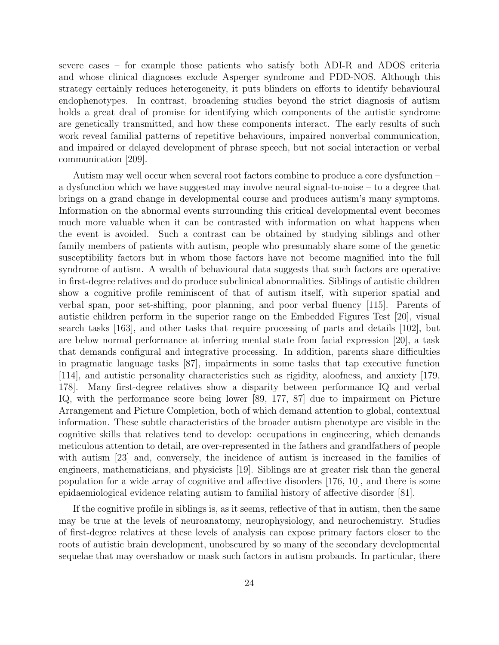severe cases – for example those patients who satisfy both ADI-R and ADOS criteria and whose clinical diagnoses exclude Asperger syndrome and PDD-NOS. Although this strategy certainly reduces heterogeneity, it puts blinders on efforts to identify behavioural endophenotypes. In contrast, broadening studies beyond the strict diagnosis of autism holds a great deal of promise for identifying which components of the autistic syndrome are genetically transmitted, and how these components interact. The early results of such work reveal familial patterns of repetitive behaviours, impaired nonverbal communication, and impaired or delayed development of phrase speech, but not social interaction or verbal communication [209].

Autism may well occur when several root factors combine to produce a core dysfunction – a dysfunction which we have suggested may involve neural signal-to-noise – to a degree that brings on a grand change in developmental course and produces autism's many symptoms. Information on the abnormal events surrounding this critical developmental event becomes much more valuable when it can be contrasted with information on what happens when the event is avoided. Such a contrast can be obtained by studying siblings and other family members of patients with autism, people who presumably share some of the genetic susceptibility factors but in whom those factors have not become magnified into the full syndrome of autism. A wealth of behavioural data suggests that such factors are operative in first-degree relatives and do produce subclinical abnormalities. Siblings of autistic children show a cognitive profile reminiscent of that of autism itself, with superior spatial and verbal span, poor set-shifting, poor planning, and poor verbal fluency [115]. Parents of autistic children perform in the superior range on the Embedded Figures Test [20], visual search tasks [163], and other tasks that require processing of parts and details [102], but are below normal performance at inferring mental state from facial expression [20], a task that demands configural and integrative processing. In addition, parents share difficulties in pragmatic language tasks [87], impairments in some tasks that tap executive function [114], and autistic personality characteristics such as rigidity, aloofness, and anxiety [179, 178]. Many first-degree relatives show a disparity between performance IQ and verbal IQ, with the performance score being lower [89, 177, 87] due to impairment on Picture Arrangement and Picture Completion, both of which demand attention to global, contextual information. These subtle characteristics of the broader autism phenotype are visible in the cognitive skills that relatives tend to develop: occupations in engineering, which demands meticulous attention to detail, are over-represented in the fathers and grandfathers of people with autism [23] and, conversely, the incidence of autism is increased in the families of engineers, mathematicians, and physicists [19]. Siblings are at greater risk than the general population for a wide array of cognitive and affective disorders [176, 10], and there is some epidaemiological evidence relating autism to familial history of affective disorder [81].

If the cognitive profile in siblings is, as it seems, reflective of that in autism, then the same may be true at the levels of neuroanatomy, neurophysiology, and neurochemistry. Studies of first-degree relatives at these levels of analysis can expose primary factors closer to the roots of autistic brain development, unobscured by so many of the secondary developmental sequelae that may overshadow or mask such factors in autism probands. In particular, there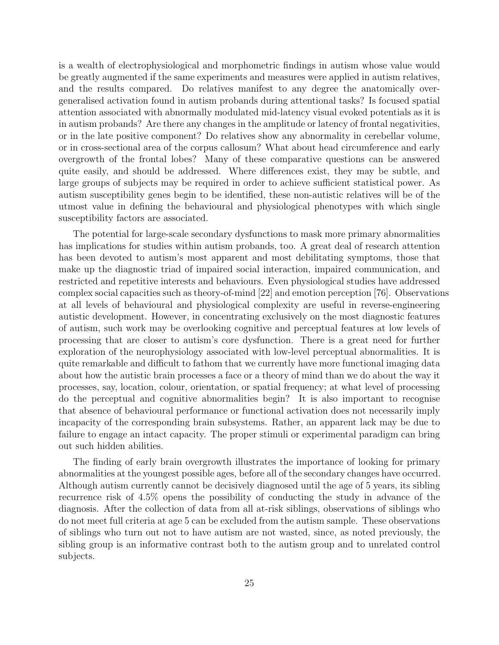is a wealth of electrophysiological and morphometric findings in autism whose value would be greatly augmented if the same experiments and measures were applied in autism relatives, and the results compared. Do relatives manifest to any degree the anatomically overgeneralised activation found in autism probands during attentional tasks? Is focused spatial attention associated with abnormally modulated mid-latency visual evoked potentials as it is in autism probands? Are there any changes in the amplitude or latency of frontal negativities, or in the late positive component? Do relatives show any abnormality in cerebellar volume, or in cross-sectional area of the corpus callosum? What about head circumference and early overgrowth of the frontal lobes? Many of these comparative questions can be answered quite easily, and should be addressed. Where differences exist, they may be subtle, and large groups of subjects may be required in order to achieve sufficient statistical power. As autism susceptibility genes begin to be identified, these non-autistic relatives will be of the utmost value in defining the behavioural and physiological phenotypes with which single susceptibility factors are associated.

The potential for large-scale secondary dysfunctions to mask more primary abnormalities has implications for studies within autism probands, too. A great deal of research attention has been devoted to autism's most apparent and most debilitating symptoms, those that make up the diagnostic triad of impaired social interaction, impaired communication, and restricted and repetitive interests and behaviours. Even physiological studies have addressed complexsocial capacities such as theory-of-mind [22] and emotion perception [76]. Observations at all levels of behavioural and physiological complexity are useful in reverse-engineering autistic development. However, in concentrating exclusively on the most diagnostic features of autism, such work may be overlooking cognitive and perceptual features at low levels of processing that are closer to autism's core dysfunction. There is a great need for further exploration of the neurophysiology associated with low-level perceptual abnormalities. It is quite remarkable and difficult to fathom that we currently have more functional imaging data about how the autistic brain processes a face or a theory of mind than we do about the way it processes, say, location, colour, orientation, or spatial frequency; at what level of processing do the perceptual and cognitive abnormalities begin? It is also important to recognise that absence of behavioural performance or functional activation does not necessarily imply incapacity of the corresponding brain subsystems. Rather, an apparent lack may be due to failure to engage an intact capacity. The proper stimuli or experimental paradigm can bring out such hidden abilities.

The finding of early brain overgrowth illustrates the importance of looking for primary abnormalities at the youngest possible ages, before all of the secondary changes have occurred. Although autism currently cannot be decisively diagnosed until the age of 5 years, its sibling recurrence risk of 4.5% opens the possibility of conducting the study in advance of the diagnosis. After the collection of data from all at-risk siblings, observations of siblings who do not meet full criteria at age 5 can be excluded from the autism sample. These observations of siblings who turn out not to have autism are not wasted, since, as noted previously, the sibling group is an informative contrast both to the autism group and to unrelated control subjects.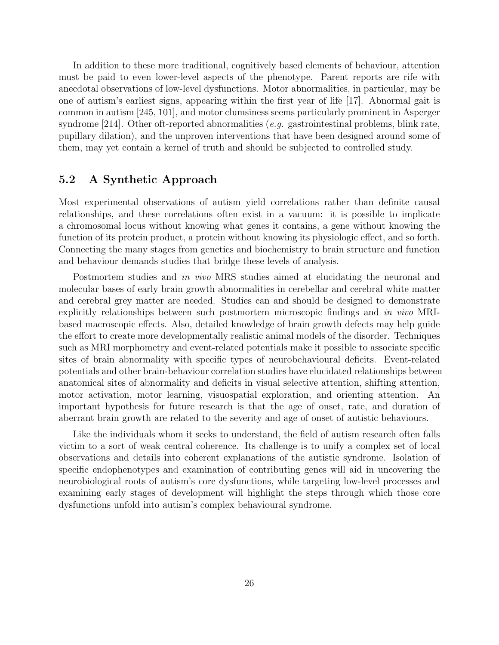In addition to these more traditional, cognitively based elements of behaviour, attention must be paid to even lower-level aspects of the phenotype. Parent reports are rife with anecdotal observations of low-level dysfunctions. Motor abnormalities, in particular, may be one of autism's earliest signs, appearing within the first year of life [17]. Abnormal gait is common in autism [245, 101], and motor clumsiness seems particularly prominent in Asperger syndrome [214]. Other oft-reported abnormalities (*e.g.* gastrointestinal problems, blink rate, pupillary dilation), and the unproven interventions that have been designed around some of them, may yet contain a kernel of truth and should be subjected to controlled study.

#### **5.2 A Synthetic Approach**

Most experimental observations of autism yield correlations rather than definite causal relationships, and these correlations often exist in a vacuum: it is possible to implicate a chromosomal locus without knowing what genes it contains, a gene without knowing the function of its protein product, a protein without knowing its physiologic effect, and so forth. Connecting the many stages from genetics and biochemistry to brain structure and function and behaviour demands studies that bridge these levels of analysis.

Postmortem studies and *in vivo* MRS studies aimed at elucidating the neuronal and molecular bases of early brain growth abnormalities in cerebellar and cerebral white matter and cerebral grey matter are needed. Studies can and should be designed to demonstrate explicitly relationships between such postmortem microscopic findings and *in vivo* MRIbased macroscopic effects. Also, detailed knowledge of brain growth defects may help guide the effort to create more developmentally realistic animal models of the disorder. Techniques such as MRI morphometry and event-related potentials make it possible to associate specific sites of brain abnormality with specific types of neurobehavioural deficits. Event-related potentials and other brain-behaviour correlation studies have elucidated relationships between anatomical sites of abnormality and deficits in visual selective attention, shifting attention, motor activation, motor learning, visuospatial exploration, and orienting attention. An important hypothesis for future research is that the age of onset, rate, and duration of aberrant brain growth are related to the severity and age of onset of autistic behaviours.

Like the individuals whom it seeks to understand, the field of autism research often falls victim to a sort of weak central coherence. Its challenge is to unify a complexset of local observations and details into coherent explanations of the autistic syndrome. Isolation of specific endophenotypes and examination of contributing genes will aid in uncovering the neurobiological roots of autism's core dysfunctions, while targeting low-level processes and examining early stages of development will highlight the steps through which those core dysfunctions unfold into autism's complex behavioural syndrome.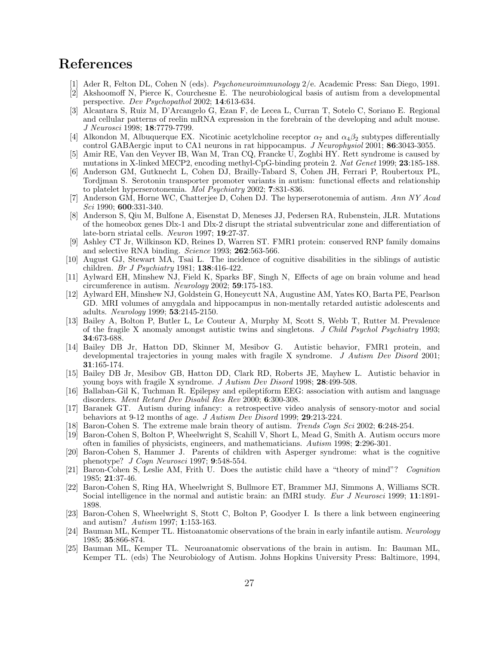## **References**

- [1] Ader R, Felton DL, Cohen N (eds). *Psychoneuroimmunology* 2/e. Academic Press: San Diego, 1991.
- [2] Akshoomoff N, Pierce K, Courchesne E. The neurobiological basis of autism from a developmental perspective. *Dev Psychopathol* 2002; **14**:613-634.
- [3] Alcantara S, Ruiz M, D'Arcangelo G, Ezan F, de Lecea L, Curran T, Sotelo C, Soriano E. Regional and cellular patterns of reelin mRNA expression in the forebrain of the developing and adult mouse. *J Neurosci* 1998; **18**:7779-7799.
- [4] Alkondon M, Albuquerque EX. Nicotinic acetylcholine receptor  $\alpha_7$  and  $\alpha_4\beta_2$  subtypes differentially control GABAergic input to CA1 neurons in rat hippocampus. *J Neurophysiol* 2001; **86**:3043-3055.
- [5] Amir RE, Van den Veyver IB, Wan M, Tran CQ, Francke U, Zoghbi HY. Rett syndrome is caused by mutations in X-linked MECP2, encoding methyl-CpG-binding protein 2. *Nat Genet* 1999; **23**:185-188.
- [6] Anderson GM, Gutknecht L, Cohen DJ, Brailly-Tabard S, Cohen JH, Ferrari P, Roubertoux PL, Tordjman S. Serotonin transporter promoter variants in autism: functional effects and relationship to platelet hyperserotonemia. *Mol Psychiatry* 2002; **7**:831-836.
- [7] Anderson GM, Horne WC, Chatterjee D, Cohen DJ. The hyperserotonemia of autism. *Ann NY Acad Sci* 1990; **600**:331-340.
- [8] Anderson S, Qiu M, Bulfone A, Eisenstat D, Meneses JJ, Pedersen RA, Rubenstein, JLR. Mutations of the homeobox genes Dlx-1 and Dlx-2 disrupt the striatal subventricular zone and differentiation of late-born striatal cells. *Neuron* 1997; **19**:27-37.
- [9] AshleyCT Jr, Wilkinson KD, Reines D, Warren ST. FMR1 protein: conserved RNP familydomains and selective RNA binding. *Science* 1993; **262**:563-566.
- [10] August GJ, Stewart MA, Tsai L. The incidence of cognitive disabilities in the siblings of autistic children. *Br J Psychiatry* 1981; **138**:416-422.
- [11] Aylward EH, Minshew NJ, Field K, Sparks BF, Singh N, Effects of age on brain volume and head circumference in autism. *Neurology* 2002; **59**:175-183.
- [12] Aylward EH, Minshew NJ, Goldstein G, Honeycutt NA, Augustine AM, Yates KO, Barta PE, Pearlson GD. MRI volumes of amygdala and hippocampus in non-mentally retarded autistic adolescents and adults. *Neurology* 1999; **53**:2145-2150.
- [13] Bailey A, Bolton P, Butler L, Le Couteur A, Murphy M, Scott S, Webb T, Rutter M. Prevalence of the fragile X anomalyamongst autistic twins and singletons. *J Child Psychol Psychiatry* 1993; **34**:673-688.
- [14] BaileyDB Jr, Hatton DD, Skinner M, Mesibov G. Autistic behavior, FMR1 protein, and developmental trajectories in young males with fragile X syndrome. *J Autism Dev Disord* 2001; **31**:165-174.
- [15] BaileyDB Jr, Mesibov GB, Hatton DD, Clark RD, Roberts JE, Mayhew L. Autistic behavior in young boys with fragile X syndrome. *J Autism Dev Disord* 1998; **28**:499-508.
- [16] Ballaban-Gil K, Tuchman R. Epilepsyand epileptiform EEG: association with autism and language disorders. *Ment Retard Dev Disabil Res Rev* 2000; **6**:300-308.
- [17] Baranek GT. Autism during infancy: a retrospective video analysis of sensory-motor and social behaviors at 9-12 months of age. *J Autism Dev Disord* 1999; **29**:213-224.
- [18] Baron-Cohen S. The extreme male brain theoryof autism. *Trends Cogn Sci* 2002; **6**:248-254.
- [19] Baron-Cohen S, Bolton P, Wheelwright S, Scahill V, Short L, Mead G, Smith A. Autism occurs more often in families of physicists, engineers, and mathematicians. *Autism* 1998; **2**:296-301.
- [20] Baron-Cohen S, Hammer J. Parents of children with Asperger syndrome: what is the cognitive phenotype? *J Cogn Neurosci* 1997; **9**:548-554.
- [21] Baron-Cohen S, Leslie AM, Frith U. Does the autistic child have a "theoryof mind"? *Cognition* 1985; **21**:37-46.
- [22] Baron-Cohen S, Ring HA, Wheelwright S, Bullmore ET, Brammer MJ, Simmons A, Williams SCR. Social intelligence in the normal and autistic brain: an fMRI study. *Eur J Neurosci* 1999; **11**:1891- 1898.
- [23] Baron-Cohen S, Wheelwright S, Stott C, Bolton P, Goodyer I. Is there a link between engineering and autism? *Autism* 1997; **1**:153-163.
- [24] Bauman ML, Kemper TL. Histoanatomic observations of the brain in earlyinfantile autism. *Neurology* 1985; **35**:866-874.
- [25] Bauman ML, Kemper TL. Neuroanatomic observations of the brain in autism. In: Bauman ML, Kemper TL. (eds) The Neurobiology of Autism. Johns Hopkins University Press: Baltimore, 1994,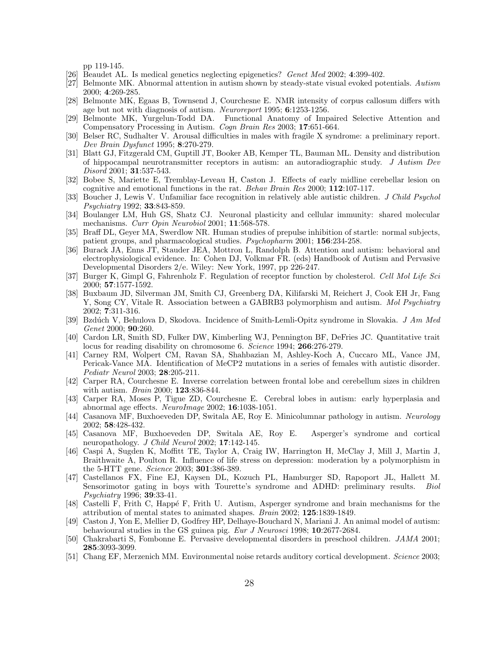pp 119-145.

- [26] Beaudet AL. Is medical genetics neglecting epigenetics? *Genet Med* 2002; **4**:399-402.
- [27] Belmonte MK. Abnormal attention in autism shown bysteady-state visual evoked potentials. *Autism* 2000; **4**:269-285.
- [28] Belmonte MK, Egaas B, Townsend J, Courchesne E. NMR intensityof corpus callosum differs with age but not with diagnosis of autism. *Neuroreport* 1995; **6**:1253-1256.
- [29] Belmonte MK, Yurgelun-Todd DA. Functional Anatomyof Impaired Selective Attention and Compensatory Processing in Autism. *Cogn Brain Res* 2003; **17**:651-664.
- [30] Belser RC, Sudhalter V. Arousal difficulties in males with fragile X syndrome: a preliminary report. *Dev Brain Dysfunct* 1995; **8**:270-279.
- [31] Blatt GJ, Fitzgerald CM, Guptill JT, Booker AB, Kemper TL, Bauman ML. Densityand distribution of hippocampal neurotransmitter receptors in autism: an autoradiographic study. *J Autism Dev Disord* 2001; **31**:537-543.
- [32] Bobee S, Mariette E, Tremblay-Leveau H, Caston J. Effects of early midline cerebellar lesion on cognitive and emotional functions in the rat. *Behav Brain Res* 2000; **112**:107-117.
- [33] Boucher J, Lewis V. Unfamiliar face recognition in relativelyable autistic children. *J Child Psychol Psychiatry* 1992; **33**:843-859.
- [34] Boulanger LM, Huh GS, Shatz CJ. Neuronal plasticityand cellular immunity: shared molecular mechanisms. *Curr Opin Neurobiol* 2001; **11**:568-578.
- [35] Braff DL, Geyer MA, Swerdlow NR. Human studies of prepulse inhibition of startle: normal subjects, patient groups, and pharmacological studies. *Psychopharm* 2001; **156**:234-258.
- [36] Burack JA, Enns JT, Stauder JEA, Mottron L, Randolph B. Attention and autism: behavioral and electrophysiological evidence. In: Cohen DJ, Volkmar FR. (eds) Handbook of Autism and Pervasive Developmental Disorders 2/e. Wiley: New York, 1997, pp 226-247.
- [37] Burger K, Gimpl G, Fahrenholz F. Regulation of receptor function bycholesterol. *Cell Mol Life Sci* 2000; **57**:1577-1592.
- [38] Buxbaum JD, Silverman JM, Smith CJ, Greenberg DA, Kilifarski M, Reichert J, Cook EH Jr, Fang Y, Song CY, Vitale R. Association between a GABRB3 polymorphism and autism. *Mol Psychiatry* 2002; **7**:311-316.
- [39] Bzd´uch V, Behulova D, Skodova. Incidence of Smith-Lemli-Opitz syndrome in Slovakia. *J Am Med Genet* 2000; **90**:260.
- [40] Cardon LR, Smith SD, Fulker DW, Kimberling WJ, Pennington BF, DeFries JC. Quantitative trait locus for reading disabilityon chromosome 6. *Science* 1994; **266**:276-279.
- [41] CarneyRM, Wolpert CM, Ravan SA, Shahbazian M, Ashley-Koch A, Cuccaro ML, Vance JM, Pericak-Vance MA. Identification of MeCP2 mutations in a series of females with autistic disorder. *Pediatr Neurol* 2003; **28**:205-211.
- [42] Carper RA, Courchesne E. Inverse correlation between frontal lobe and cerebellum sizes in children with autism. *Brain* 2000; **123**:836-844.
- [43] Carper RA, Moses P, Tigue ZD, Courchesne E. Cerebral lobes in autism: early hyperplasia and abnormal age effects. *NeuroImage* 2002; **16**:1038-1051.
- [44] Casanova MF, Buxhoeveden DP, Switala AE, RoyE. Minicolumnar pathologyin autism. *Neurology* 2002; **58**:428-432.
- [45] Casanova MF, Buxhoeveden DP, Switala AE, RoyE. Asperger's syndrome and cortical neuropathology. *J Child Neurol* 2002; **17**:142-145.
- [46] Caspi A, Sugden K, Moffitt TE, Taylor A, Craig IW, Harrington H, McClay J, Mill J, Martin J, Braithwaite A, Poulton R. Influence of life stress on depression: moderation by a polymorphism in the 5-HTT gene. *Science* 2003; **301**:386-389.
- [47] Castellanos FX, Fine EJ, Kaysen DL, Kozuch PL, Hamburger SD, Rapoport JL, Hallett M. Sensorimotor gating in boys with Tourette's syndrome and ADHD: preliminary results. *Biol Psychiatry* 1996; **39**:33-41.
- [48] Castelli F, Frith C, Happé F, Frith U. Autism, Asperger syndrome and brain mechanisms for the attribution of mental states to animated shapes. *Brain* 2002; **125**:1839-1849.
- [49] Caston J, Yon E, Mellier D, GodfreyHP, Delhaye-Bouchard N, Mariani J. An animal model of autism: behavioural studies in the GS guinea pig. *Eur J Neurosci* 1998; **10**:2677-2684.
- [50] Chakrabarti S, Fombonne E. Pervasive developmental disorders in preschool children. *JAMA* 2001; **285**:3093-3099.
- [51] Chang EF, Merzenich MM. Environmental noise retards auditorycortical development. *Science* 2003;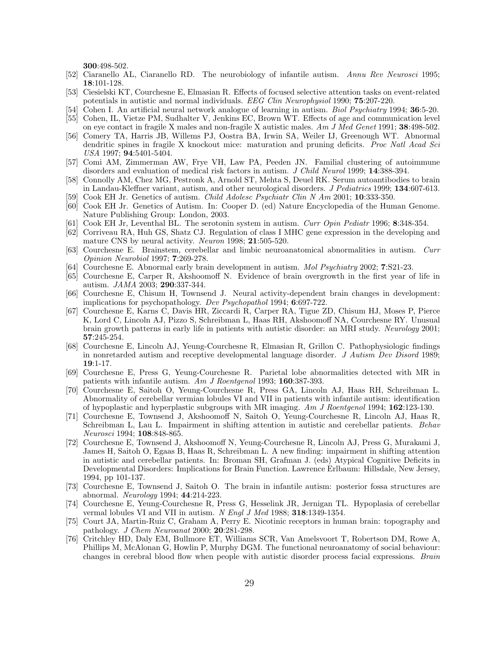**300**:498-502.

- [52] Ciaranello AL, Ciaranello RD. The neurobiologyof infantile autism. *Annu Rev Neurosci* 1995; **18**:101-128.
- [53] Ciesielski KT, Courchesne E, Elmasian R. Effects of focused selective attention tasks on event-related potentials in autistic and normal individuals. *EEG Clin Neurophysiol* 1990; **75**:207-220.
- [54] Cohen I. An artificial neural network analogue of learning in autism. *Biol Psychiatry* 1994; **36**:5-20.
- [55] Cohen, IL, Vietze PM, Sudhalter V, Jenkins EC, Brown WT. Effects of age and communication level on eye contact in fragile X males and non-fragile X autistic males. *Am J Med Genet* 1991; **38**:498-502.
- [56] ComeryTA, Harris JB, Willems PJ, Oostra BA, Irwin SA, Weiler IJ, Greenough WT. Abnormal dendritic spines in fragile X knockout mice: maturation and pruning deficits. *Proc Natl Acad Sci USA* 1997; **94**:5401-5404.
- [57] Comi AM, Zimmerman AW, Frye VH, Law PA, Peeden JN. Familial clustering of autoimmune disorders and evaluation of medical risk factors in autism. *J Child Neurol* 1999; **14**:388-394.
- [58] ConnollyAM, Chez MG, Pestronk A, Arnold ST, Mehta S, Deuel RK. Serum autoantibodies to brain in Landau-Kleffner variant, autism, and other neurological disorders. *J Pediatrics* 1999; **134**:607-613.
- [59] Cook EH Jr. Genetics of autism. *Child Adolesc Psychiatr Clin N Am* 2001; **10**:333-350.
- [60] Cook EH Jr. Genetics of Autism. In: Cooper D. (ed) Nature Encyclopedia of the Human Genome. Nature Publishing Group: London, 2003.
- [61] Cook EH Jr, Leventhal BL. The serotonin system in autism. *Curr Opin Pediatr* 1996; **8**:348-354.
- [62] Corriveau RA, Huh GS, Shatz CJ. Regulation of class I MHC gene expression in the developing and mature CNS by neural activity. *Neuron* 1998; **21**:505-520.
- [63] Courchesne E. Brainstem, cerebellar and limbic neuroanatomical abnormalities in autism. *Curr Opinion Neurobiol* 1997; **7**:269-278.
- [64] Courchesne E. Abnormal earlybrain development in autism. *Mol Psychiatry* 2002; **7**:S21-23.
- [65] Courchesne E, Carper R, Akshoomoff N. Evidence of brain overgrowth in the first year of life in autism. *JAMA* 2003; **290**:337-344.
- [66] Courchesne E, Chisum H, Townsend J. Neural activity-dependent brain changes in development: implications for psychopathology. *Dev Psychopathol* 1994; **6**:697-722.
- [67] Courchesne E, Karns C, Davis HR, Ziccardi R, Carper RA, Tigue ZD, Chisum HJ, Moses P, Pierce K, Lord C, Lincoln AJ, Pizzo S, Schreibman L, Haas RH, Akshoomoff NA, Courchesne RY. Unusual brain growth patterns in earlylife in patients with autistic disorder: an MRI study. *Neurology* 2001; **57**:245-254.
- [68] Courchesne E, Lincoln AJ, Yeung-Courchesne R, Elmasian R, Grillon C. Pathophysiologic findings in nonretarded autism and receptive developmental language disorder. *J Autism Dev Disord* 1989; **19**:1-17.
- [69] Courchesne E, Press G, Yeung-Courchesne R. Parietal lobe abnormalities detected with MR in patients with infantile autism. *Am J Roentgenol* 1993; **160**:387-393.
- [70] Courchesne E, Saitoh O, Yeung-Courchesne R, Press GA, Lincoln AJ, Haas RH, Schreibman L. Abnormalityof cerebellar vermian lobules VI and VII in patients with infantile autism: identification of hypoplastic and hyperplastic subgroups with MR imaging. *Am J Roentgenol* 1994; **162**:123-130.
- [71] Courchesne E, Townsend J, Akshoomoff N, Saitoh O, Yeung-Courchesne R, Lincoln AJ, Haas R, Schreibman L, Lau L. Impairment in shifting attention in autistic and cerebellar patients. *Behav Neurosci* 1994; **108**:848-865.
- [72] Courchesne E, Townsend J, Akshoomoff N, Yeung-Courchesne R, Lincoln AJ, Press G, Murakami J, James H, Saitoh O, Egaas B, Haas R, Schreibman L. A new finding: impairment in shifting attention in autistic and cerebellar patients. In: Broman SH, Grafman J. (eds) Atypical Cognitive Deficits in Developmental Disorders: Implications for Brain Function. Lawrence Erlbaum: Hillsdale, New Jersey, 1994, pp 101-137.
- [73] Courchesne E, Townsend J, Saitoh O. The brain in infantile autism: posterior fossa structures are abnormal. *Neurology* 1994; **44**:214-223.
- [74] Courchesne E, Yeung-Courchesne R, Press G, Hesselink JR, Jernigan TL. Hypoplasia of cerebellar vermal lobules VI and VII in autism. *N Engl J Med* 1988; **318**:1349-1354.
- [75] Court JA, Martin-Ruiz C, Graham A, PerryE. Nicotinic receptors in human brain: topographyand pathology. *J Chem Neuroanat* 2000; **20**:281-298.
- [76] CritchleyHD, DalyEM, Bullmore ET, Williams SCR, Van Amelsvoort T, Robertson DM, Rowe A, Phillips M, McAlonan G, Howlin P, MurphyDGM. The functional neuroanatomyof social behaviour: changes in cerebral blood flow when people with autistic disorder process facial expressions. *Brain*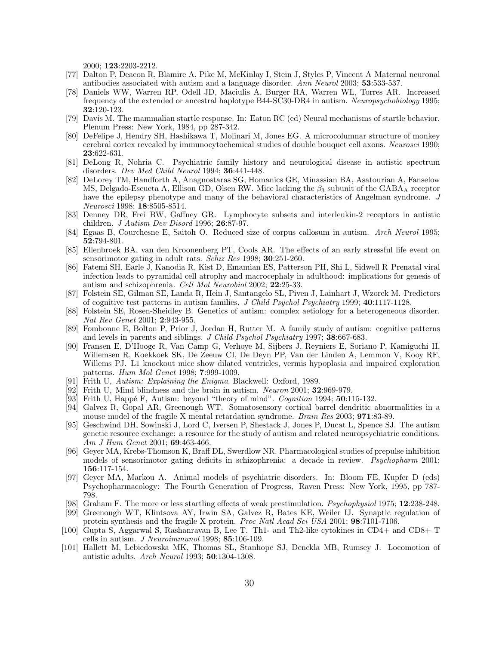2000; **123**:2203-2212.

- [77] Dalton P, Deacon R, Blamire A, Pike M, McKinlayI, Stein J, Styles P, Vincent A Maternal neuronal antibodies associated with autism and a language disorder. *Ann Neurol* 2003; **53**:533-537.
- [78] Daniels WW, Warren RP, Odell JD, Maciulis A, Burger RA, Warren WL, Torres AR. Increased frequencyof the extended or ancestral haplotype B44-SC30-DR4 in autism. *Neuropsychobiology* 1995; **32**:120-123.
- [79] Davis M. The mammalian startle response. In: Eaton RC (ed) Neural mechanisms of startle behavior. Plenum Press: New York, 1984, pp 287-342.
- [80] DeFelipe J, HendrySH, Hashikawa T, Molinari M, Jones EG. A microcolumnar structure of monkey cerebral cortex revealed byimmunocytochemical studies of double bouquet cell axons. *Neurosci* 1990; **23**:622-631.
- [81] DeLong R, Nohria C. Psychiatric family history and neurological disease in autistic spectrum disorders. *Dev Med Child Neurol* 1994; **36**:441-448.
- [82] DeLoreyTM, Handforth A, Anagnostaras SG, Homanics GE, Minassian BA, Asatourian A, Fanselow MS, Delgado-Escueta A, Ellison GD, Olsen RW. Mice lacking the  $\beta_3$  subunit of the GABA<sub>A</sub> receptor have the epilepsy phenotype and many of the behavioral characteristics of Angelman syndrome. *J Neurosci* 1998; **18**:8505-8514.
- [83] DenneyDR, Frei BW, GaffneyGR. Lymphocyte subsets and interleukin-2 receptors in autistic children. *J Autism Dev Disord* 1996; **26**:87-97.
- [84] Egaas B, Courchesne E, Saitoh O. Reduced size of corpus callosum in autism. *Arch Neurol* 1995; **52**:794-801.
- [85] Ellenbroek BA, van den Kroonenberg PT, Cools AR. The effects of an earlystressful life event on sensorimotor gating in adult rats. *Schiz Res* 1998; **30**:251-260.
- [86] Fatemi SH, Earle J, Kanodia R, Kist D, Emamian ES, Patterson PH, Shi L, Sidwell R Prenatal viral infection leads to pyramidal cell atrophy and macrocephaly in adulthood: implications for genesis of autism and schizophrenia. *Cell Mol Neurobiol* 2002; **22**:25-33.
- [87] Folstein SE, Gilman SE, Landa R, Hein J, Santangelo SL, Piven J, Lainhart J, Wzorek M. Predictors of cognitive test patterns in autism families. *J Child Psychol Psychiatry* 1999; **40**:1117-1128.
- [88] Folstein SE, Rosen-SheidleyB. Genetics of autism: complex aetiologyfor a heterogeneous disorder. *Nat Rev Genet* 2001; **2**:943-955.
- [89] Fombonne E, Bolton P, Prior J, Jordan H, Rutter M. A familystudyof autism: cognitive patterns and levels in parents and siblings. *J Child Psychol Psychiatry* 1997; **38**:667-683.
- [90] Fransen E, D'Hooge R, Van Camp G, Verhoye M, Sijbers J, Reyniers E, Soriano P, Kamiguchi H, Willemsen R, Koekkoek SK, De Zeeuw CI, De Deyn PP, Van der Linden A, Lemmon V, Kooy RF, Willems PJ. L1 knockout mice show dilated ventricles, vermis hypoplasia and impaired exploration patterns. *Hum Mol Genet* 1998; **7**:999-1009.
- [91] Frith U, *Autism: Explaining the Enigma*. Blackwell: Oxford, 1989.
- [92] Frith U, Mind blindness and the brain in autism. *Neuron* 2001; **32**:969-979.
- [93] Frith U, Happ´e F, Autism: beyond "theory of mind". *Cognition* 1994; **50**:115-132.
- [94] Galvez R, Gopal AR, Greenough WT. Somatosensorycortical barrel dendritic abnormalities in a mouse model of the fragile X mental retardation syndrome. *Brain Res* 2003; **971**:83-89.
- [95] Geschwind DH, Sowinski J, Lord C, Iversen P, Shestack J, Jones P, Ducat L, Spence SJ. The autism genetic resource exchange: a resource for the study of autism and related neuropsychiatric conditions. *Am J Hum Genet* 2001; **69**:463-466.
- [96] Geyer MA, Krebs-Thomson K, Braff DL, Swerdlow NR. Pharmacological studies of prepulse inhibition models of sensorimotor gating deficits in schizophrenia: a decade in review. *Psychopharm* 2001; **156**:117-154.
- [97] Geyer MA, Markou A. Animal models of psychiatric disorders. In: Bloom FE, Kupfer D (eds) Psychopharmacology: The Fourth Generation of Progress, Raven Press: New York, 1995, pp 787- 798.
- [98] Graham F. The more or less startling effects of weak prestimulation. *Psychophysiol* 1975; **12**:238-248.
- [99] Greenough WT, Klintsova AY, Irwin SA, Galvez R, Bates KE, Weiler IJ. Synaptic regulation of protein synthesis and the fragile X protein. *Proc Natl Acad Sci USA* 2001; **98**:7101-7106.
- [100] Gupta S, Aggarwal S, Rashanravan B, Lee T. Th1- and Th2-like cytokines in CD4+ and CD8+ T cells in autism. *J Neuroimmunol* 1998; **85**:106-109.
- [101] Hallett M, Lebiedowska MK, Thomas SL, Stanhope SJ, Denckla MB, Rumsey J. Locomotion of autistic adults. *Arch Neurol* 1993; **50**:1304-1308.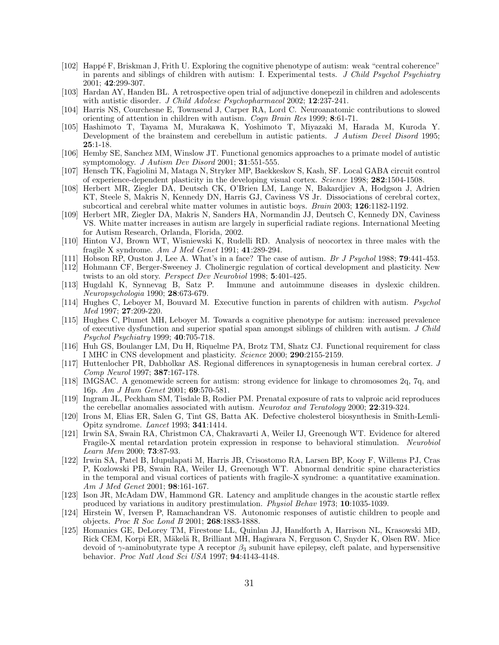- [102] Happé F, Briskman J, Frith U. Exploring the cognitive phenotype of autism: weak "central coherence" in parents and siblings of children with autism: I. Experimental tests. *J Child Psychol Psychiatry* 2001; **42**:299-307.
- [103] Hardan AY, Handen BL. A retrospective open trial of adjunctive donepezil in children and adolescents with autistic disorder. *J Child Adolesc Psychopharmacol* 2002; **12**:237-241.
- [104] Harris NS, Courchesne E, Townsend J, Carper RA, Lord C. Neuroanatomic contributions to slowed orienting of attention in children with autism. *Cogn Brain Res* 1999; **8**:61-71.
- [105] Hashimoto T, Tayama M, Murakawa K, Yoshimoto T, Miyazaki M, Harada M, Kuroda Y. Development of the brainstem and cerebellum in autistic patients. *J Autism Devel Disord* 1995; **25**:1-18.
- [106] HembySE, Sanchez MM, Winslow JT. Functional genomics approaches to a primate model of autistic symptomology. *J Autism Dev Disord* 2001; **31**:551-555.
- [107] Hensch TK, Fagiolini M, Mataga N, Stryker MP, Baekkeskov S, Kash, SF. Local GABA circuit control of experience-dependent plasticityin the developing visual cortex. *Science* 1998; **282**:1504-1508.
- [108] Herbert MR, Ziegler DA, Deutsch CK, O'Brien LM, Lange N, Bakardjiev A, Hodgson J, Adrien KT, Steele S, Makris N, KennedyDN, Harris GJ, Caviness VS Jr. Dissociations of cerebral cortex, subcortical and cerebral white matter volumes in autistic boys. *Brain* 2003; **126**:1182-1192.
- [109] Herbert MR, Ziegler DA, Makris N, Sanders HA, Normandin JJ, Deutsch C, KennedyDN, Caviness VS. White matter increases in autism are largely in superficial radiate regions. International Meeting for Autism Research, Orlanda, Florida, 2002.
- [110] Hinton VJ, Brown WT, Wisniewski K, Rudelli RD. Analysis of neocortex in three males with the fragile X syndrome. *Am J Med Genet* 1991; **41**:289-294.
- [111] Hobson RP, Ouston J, Lee A. What's in a face? The case of autism. *Br J Psychol* 1988; **79**:441-453.
- [112] Hohmann CF, Berger-SweeneyJ. Cholinergic regulation of cortical development and plasticity. New twists to an old story. *Perspect Dev Neurobiol* 1998; **5**:401-425.
- [113] Hugdahl K, Synnevag B, Satz P. Immune and autoimmune diseases in dyslexic children. *Neuropsychologia* 1990; **28**:673-679.
- [114] Hughes C, Leboyer M, Bouvard M. Executive function in parents of children with autism. *Psychol Med* 1997; **27**:209-220.
- [115] Hughes C, Plumet MH, Leboyer M. Towards a cognitive phenotype for autism: increased prevalence of executive dysfunction and superior spatial span amongst siblings of children with autism. *J Child Psychol Psychiatry* 1999; **40**:705-718.
- [116] Huh GS, Boulanger LM, Du H, Riquelme PA, Brotz TM, Shatz CJ. Functional requirement for class I MHC in CNS development and plasticity. *Science* 2000; **290**:2155-2159.
- [117] Huttenlocher PR, Dabholkar AS. Regional differences in synaptogenesis in human cerebral cortex. *J Comp Neurol* 1997; **387**:167-178.
- [118] IMGSAC. A genomewide screen for autism: strong evidence for linkage to chromosomes 2q, 7q, and 16p. *Am J Hum Genet* 2001; **69**:570-581.
- [119] Ingram JL, Peckham SM, Tisdale B, Rodier PM. Prenatal exposure of rats to valproic acid reproduces the cerebellar anomalies associated with autism. *Neurotox and Teratology* 2000; **22**:319-324.
- [120] Irons M, Elias ER, Salen G, Tint GS, Batta AK. Defective cholesterol biosynthesis in Smith-Lemli-Opitz syndrome. *Lancet* 1993; **341**:1414.
- [121] Irwin SA, Swain RA, Christmon CA, Chakravarti A, Weiler IJ, Greenough WT. Evidence for altered Fragile-X mental retardation protein expression in response to behavioral stimulation. *Neurobiol Learn Mem* 2000; **73**:87-93.
- [122] Irwin SA, Patel B, Idupulapati M, Harris JB, Crisostomo RA, Larsen BP, KooyF, Willems PJ, Cras P, Kozlowski PB, Swain RA, Weiler IJ, Greenough WT. Abnormal dendritic spine characteristics in the temporal and visual cortices of patients with fragile-X syndrome: a quantitative examination. *Am J Med Genet* 2001; **98**:161-167.
- [123] Ison JR, McAdam DW, Hammond GR. Latencyand amplitude changes in the acoustic startle reflex produced byvariations in auditoryprestimulation. *Physiol Behav* 1973; **10**:1035-1039.
- [124] Hirstein W, Iversen P, Ramachandran VS. Autonomic responses of autistic children to people and objects. *Proc R Soc Lond B* 2001; **268**:1883-1888.
- [125] Homanics GE, DeLoreyTM, Firestone LL, Quinlan JJ, Handforth A, Harrison NL, Krasowski MD, Rick CEM, Korpi ER, Mäkelä R, Brilliant MH, Hagiwara N, Ferguson C, Snyder K, Olsen RW. Mice devoid of  $\gamma$ -aminobutyrate type A receptor  $\beta_3$  subunit have epilepsy, cleft palate, and hypersensitive behavior. *Proc Natl Acad Sci USA* 1997; **94**:4143-4148.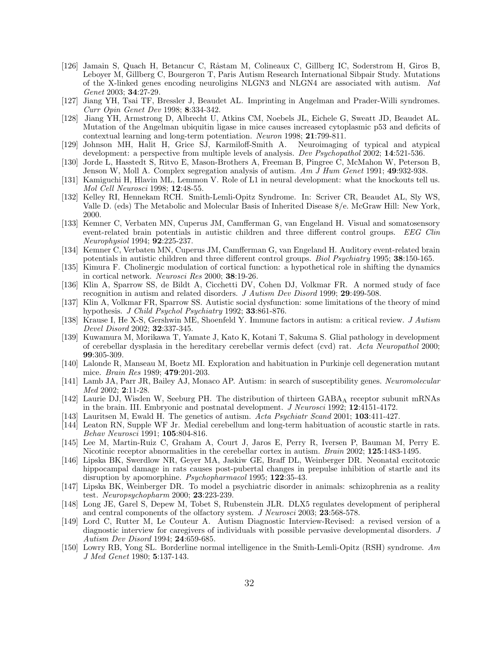- [126] Jamain S, Quach H, Betancur C, Råstam M, Colineaux C, Gillberg IC, Soderstrom H, Giros B, Leboyer M, Gillberg C, Bourgeron T, Paris Autism Research International Sibpair Study. Mutations of the X-linked genes encoding neuroligins NLGN3 and NLGN4 are associated with autism. *Nat Genet* 2003; **34**:27-29.
- [127] Jiang YH, Tsai TF, Bressler J, Beaudet AL. Imprinting in Angelman and Prader-Willi syndromes. *Curr Opin Genet Dev* 1998; **8**:334-342.
- [128] Jiang YH, Armstrong D, Albrecht U, Atkins CM, Noebels JL, Eichele G, Sweatt JD, Beaudet AL. Mutation of the Angelman ubiquitin ligase in mice causes increased cytoplasmic p53 and deficits of contextual learning and long-term potentiation. *Neuron* 1998; **21**:799-811.
- [129] Johnson MH, Halit H, Grice SJ, Karmiloff-Smith A. Neuroimaging of typical and atypical development: a perspective from multiple levels of analysis. *Dev Psychopathol* 2002; **14**:521-536.
- [130] Jorde L, Hasstedt S, Ritvo E, Mason-Brothers A, Freeman B, Pingree C, McMahon W, Peterson B, Jenson W, Moll A. Complex segregation analysis of autism. *Am J Hum Genet* 1991; **49**:932-938.
- [131] Kamiguchi H, Hlavin ML, Lemmon V. Role of L1 in neural development: what the knockouts tell us. *Mol Cell Neurosci* 1998; **12**:48-55.
- [132] KelleyRI, Hennekam RCH. Smith-Lemli-Opitz Syndrome. In: Scriver CR, Beaudet AL, SlyWS, Valle D. (eds) The Metabolic and Molecular Basis of Inherited Disease 8/e. McGraw Hill: New York, 2000.
- [133] Kemner C, Verbaten MN, Cuperus JM, Camfferman G, van Engeland H. Visual and somatosensory event-related brain potentials in autistic children and three different control groups. *EEG Clin Neurophysiol* 1994; **92**:225-237.
- [134] Kemner C, Verbaten MN, Cuperus JM, Camfferman G, van Engeland H. Auditoryevent-related brain potentials in autistic children and three different control groups. *Biol Psychiatry* 1995; **38**:150-165.
- [135] Kimura F. Cholinergic modulation of cortical function: a hypothetical role in shifting the dynamics in cortical network. *Neurosci Res* 2000; **38**:19-26.
- [136] Klin A, Sparrow SS, de Bildt A, Cicchetti DV, Cohen DJ, Volkmar FR. A normed study of face recognition in autism and related disorders. *J Autism Dev Disord* 1999; **29**:499-508.
- [137] Klin A, Volkmar FR, Sparrow SS. Autistic social dysfunction: some limitations of the theory of mind hypothesis. *J Child Psychol Psychiatry* 1992; **33**:861-876.
- [138] Krause I, He X-S, Gershwin ME, Shoenfeld Y. Immune factors in autism: a critical review. *J Autism Devel Disord* 2002; **32**:337-345.
- [139] Kuwamura M, Morikawa T, Yamate J, Kato K, Kotani T, Sakuma S. Glial pathologyin development of cerebellar dysplasia in the hereditary cerebellar vermis defect (cvd) rat. *Acta Neuropathol* 2000; **99**:305-309.
- [140] Lalonde R, Manseau M, Boetz MI. Exploration and habituation in Purkinje cell degeneration mutant mice. *Brain Res* 1989; **479**:201-203.
- [141] Lamb JA, Parr JR, BaileyAJ, Monaco AP. Autism: in search of susceptibilitygenes. *Neuromolecular Med* 2002; **2**:11-28.
- [142] Laurie DJ, Wisden W, Seeburg PH. The distribution of thirteen GABA<sup>A</sup> receptor subunit mRNAs in the brain. III. Embryonic and postnatal development. *J Neurosci* 1992; **12**:4151-4172.
- [143] Lauritsen M, Ewald H. The genetics of autism. *Acta Psychiatr Scand* 2001; **103**:411-427.
- [144] Leaton RN, Supple WF Jr. Medial cerebellum and long-term habituation of acoustic startle in rats. *Behav Neurosci* 1991; **105**:804-816.
- [145] Lee M, Martin-Ruiz C, Graham A, Court J, Jaros E, PerryR, Iversen P, Bauman M, PerryE. Nicotinic receptor abnormalities in the cerebellar cortex in autism. *Brain* 2002; **125**:1483-1495.
- [146] Lipska BK, Swerdlow NR, Geyer MA, Jaskiw GE, Braff DL, Weinberger DR. Neonatal excitotoxic hippocampal damage in rats causes post-pubertal changes in prepulse inhibition of startle and its disruption by apomorphine. *Psychopharmacol* 1995; **122**:35-43.
- [147] Lipska BK, Weinberger DR. To model a psychiatric disorder in animals: schizophrenia as a reality test. *Neuropsychopharm* 2000; **23**:223-239.
- [148] Long JE, Garel S, Depew M, Tobet S, Rubenstein JLR. DLX5 regulates development of peripheral and central components of the olfactorysystem. *J Neurosci* 2003; **23**:568-578.
- [149] Lord C, Rutter M, Le Couteur A. Autism Diagnostic Interview-Revised: a revised version of a diagnostic interview for caregivers of individuals with possible pervasive developmental disorders. *J Autism Dev Disord* 1994; **24**:659-685.
- [150] LowryRB, Yong SL. Borderline normal intelligence in the Smith-Lemli-Opitz (RSH) syndrome. *Am J Med Genet* 1980; **5**:137-143.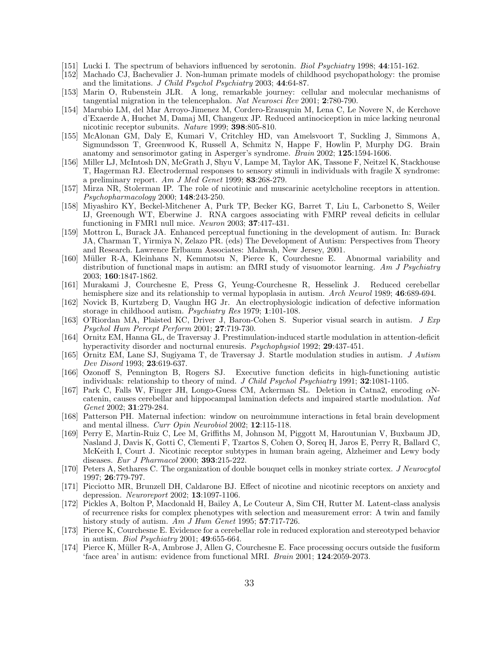- [151] Lucki I. The spectrum of behaviors influenced byserotonin. *Biol Psychiatry* 1998; **44**:151-162.
- [152] Machado CJ, Bachevalier J. Non-human primate models of childhood psychopathology: the promise and the limitations. *J Child Psychol Psychiatry* 2003; **44**:64-87.
- [153] Marin O, Rubenstein JLR. A long, remarkable journey: cellular and molecular mechanisms of tangential migration in the telencephalon. *Nat Neurosci Rev* 2001; **2**:780-790.
- [154] Marubio LM, del Mar Arroyo-Jimenez M, Cordero-Erausquin M, Lena C, Le Novere N, de Kerchove d'Exaerde A, Huchet M, Damaj MI, Changeux JP. Reduced antinociception in mice lacking neuronal nicotinic receptor subunits. *Nature* 1999; **398**:805-810.
- [155] McAlonan GM, DalyE, Kumari V, CritchleyHD, van Amelsvoort T, Suckling J, Simmons A, Sigmundsson T, Greenwood K, Russell A, Schmitz N, Happe F, Howlin P, MurphyDG. Brain anatomyand sensorimotor gating in Asperger's syndrome. *Brain* 2002; **125**:1594-1606.
- [156] Miller LJ, McIntosh DN, McGrath J, Shyu V, Lampe M, Taylor AK, Tassone F, Neitzel K, Stackhouse T, Hagerman RJ. Electrodermal responses to sensorystimuli in individuals with fragile X syndrome: a preliminaryreport. *Am J Med Genet* 1999; **83**:268-279.
- [157] Mirza NR, Stolerman IP. The role of nicotinic and muscarinic acetylcholine receptors in attention. *Psychopharmacology* 2000; **148**:243-250.
- [158] Miyashiro KY, Beckel-Mitchener A, Purk TP, Becker KG, Barret T, Liu L, Carbonetto S, Weiler IJ, Greenough WT, Eberwine J. RNA cargoes associating with FMRP reveal deficits in cellular functioning in FMR1 null mice. *Neuron* 2003; **37**:417-431.
- [159] Mottron L, Burack JA. Enhanced perceptual functioning in the development of autism. In: Burack JA, Charman T, Yirmiya N, Zelazo PR. (eds) The Development of Autism: Perspectives from Theory and Research. Lawrence Erlbaum Associates: Mahwah, New Jersey, 2001.
- [160] Müller R-A, Kleinhans N, Kemmotsu N, Pierce K, Courchesne E. Abnormal variability and distribution of functional maps in autism: an fMRI studyof visuomotor learning. *Am J Psychiatry* 2003; **160**:1847-1862.
- [161] Murakami J, Courchesne E, Press G, Yeung-Courchesne R, Hesselink J. Reduced cerebellar hemisphere size and its relationship to vermal hypoplasia in autism. *Arch Neurol* 1989; **46**:689-694.
- [162] Novick B, Kurtzberg D, Vaughn HG Jr. An electrophysiologic indication of defective information storage in childhood autism. *Psychiatry Res* 1979; **1**:101-108.
- [163] O'Riordan MA, Plaisted KC, Driver J, Baron-Cohen S. Superior visual search in autism. *J Exp Psychol Hum Percept Perform* 2001; **27**:719-730.
- [164] Ornitz EM, Hanna GL, de TraversayJ. Prestimulation-induced startle modulation in attention-deficit hyperactivity disorder and nocturnal enuresis. *Psychophysiol* 1992; **29**:437-451.
- [165] Ornitz EM, Lane SJ, Sugiyama T, de Traversay J. Startle modulation studies in autism. *J Autism Dev Disord* 1993; **23**:619-637.
- [166] Ozonoff S, Pennington B, Rogers SJ. Executive function deficits in high-functioning autistic individuals: relationship to theoryof mind. *J Child Psychol Psychiatry* 1991; **32**:1081-1105.
- [167] Park C, Falls W, Finger JH, Longo-Guess CM, Ackerman SL. Deletion in Catna2, encoding  $\alpha$ Ncatenin, causes cerebellar and hippocampal lamination defects and impaired startle modulation. *Nat Genet* 2002; **31**:279-284.
- [168] Patterson PH. Maternal infection: window on neuroimmune interactions in fetal brain development and mental illness. *Curr Opin Neurobiol* 2002; **12**:115-118.
- [169] PerryE, Martin-Ruiz C, Lee M, Griffiths M, Johnson M, Piggott M, Haroutunian V, Buxbaum JD, Nasland J, Davis K, Gotti C, Clementi F, Tzartos S, Cohen O, Soreq H, Jaros E, Perry R, Ballard C, McKeith I, Court J. Nicotinic receptor subtypes in human brain ageing, Alzheimer and Lewy body diseases. *Eur J Pharmacol* 2000; **393**:215-222.
- [170] Peters A, Sethares C. The organization of double bouquet cells in monkeystriate cortex. *J Neurocytol* 1997; **26**:779-797.
- [171] Picciotto MR, Brunzell DH, Caldarone BJ. Effect of nicotine and nicotinic receptors on anxiety and depression. *Neuroreport* 2002; **13**:1097-1106.
- [172] Pickles A, Bolton P, Macdonald H, BaileyA, Le Couteur A, Sim CH, Rutter M. Latent-class analysis of recurrence risks for complex phenotypes with selection and measurement error: A twin and family historystudyof autism. *Am J Hum Genet* 1995; **57**:717-726.
- [173] Pierce K, Courchesne E. Evidence for a cerebellar role in reduced exploration and stereotyped behavior in autism. *Biol Psychiatry* 2001; **49**:655-664.
- [174] Pierce K, Müller R-A, Ambrose J, Allen G, Courchesne E. Face processing occurs outside the fusiform 'face area' in autism: evidence from functional MRI. *Brain* 2001; **124**:2059-2073.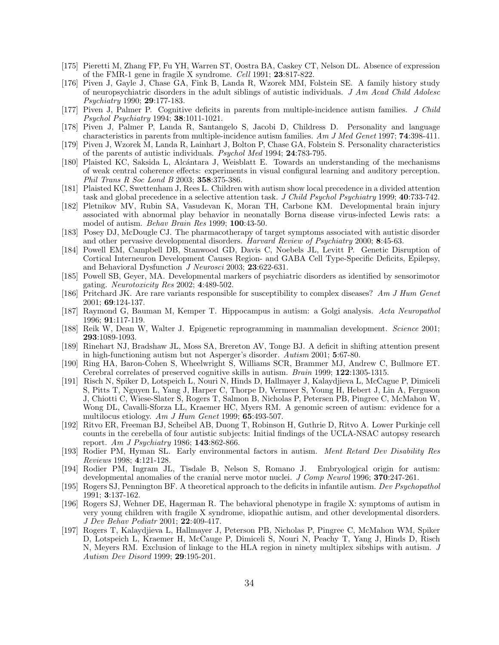- [175] Pieretti M, Zhang FP, Fu YH, Warren ST, Oostra BA, CaskeyCT, Nelson DL. Absence of expression of the FMR-1 gene in fragile X syndrome. *Cell* 1991; **23**:817-822.
- [176] Piven J, Gayle J, Chase GA, Fink B, Landa R, Wzorek MM, Folstein SE. A family history study of neuropsychiatric disorders in the adult siblings of autistic individuals. *J Am Acad Child Adolesc Psychiatry* 1990; **29**:177-183.
- [177] Piven J, Palmer P. Cognitive deficits in parents from multiple-incidence autism families. *J Child Psychol Psychiatry* 1994; **38**:1011-1021.
- [178] Piven J, Palmer P, Landa R, Santangelo S, Jacobi D, Childress D. Personalityand language characteristics in parents from multiple-incidence autism families. *Am J Med Genet* 1997; **74**:398-411.
- [179] Piven J, Wzorek M, Landa R, Lainhart J, Bolton P, Chase GA, Folstein S. Personality characteristics of the parents of autistic individuals. *Psychol Med* 1994; **24**:783-795.
- [180] Plaisted KC, Saksida L, Alcántara J, Weisblatt E. Towards an understanding of the mechanisms of weak central coherence effects: experiments in visual configural learning and auditoryperception. *Phil Trans R Soc Lond B* 2003; **358**:375-386.
- [181] Plaisted KC, Swettenham J, Rees L. Children with autism show local precedence in a divided attention task and global precedence in a selective attention task. *J Child Psychol Psychiatry* 1999; **40**:733-742.
- [182] Pletnikov MV, Rubin SA, Vasudevan K, Moran TH, Carbone KM. Developmental brain injury associated with abnormal play behavior in neonatally Borna disease virus-infected Lewis rats: a model of autism. *Behav Brain Res* 1999; **100**:43-50.
- [183] Posey DJ, McDougle CJ. The pharmacotherapy of target symptoms associated with autistic disorder and other pervasive developmental disorders. *Harvard Review of Psychiatry* 2000; **8**:45-63.
- [184] Powell EM, Campbell DB, Stanwood GD, Davis C, Noebels JL, Levitt P. Genetic Disruption of Cortical Interneuron Development Causes Region- and GABA Cell Type-Specific Deficits, Epilepsy, and Behavioral Dysfunction *J Neurosci* 2003; **23**:622-631.
- [185] Powell SB, Geyer, MA. Developmental markers of psychiatric disorders as identified by sensorimotor gating. *Neurotoxicity Res* 2002; **4**:489-502.
- [186] Pritchard JK. Are rare variants responsible for susceptibilityto complex diseases? *Am J Hum Genet* 2001; **69**:124-137.
- [187] Raymond G, Bauman M, Kemper T. Hippocampus in autism: a Golgi analysis. *Acta Neuropathol* 1996; **91**:117-119.
- [188] Reik W, Dean W, Walter J. Epigenetic reprogramming in mammalian development. *Science* 2001; **293**:1089-1093.
- [189] Rinehart NJ, Bradshaw JL, Moss SA, Brereton AV, Tonge BJ. A deficit in shifting attention present in high-functioning autism but not Asperger's disorder. *Autism* 2001; **5**:67-80.
- [190] Ring HA, Baron-Cohen S, Wheelwright S, Williams SCR, Brammer MJ, Andrew C, Bullmore ET. Cerebral correlates of preserved cognitive skills in autism. *Brain* 1999; **122**:1305-1315.
- [191] Risch N, Spiker D, Lotspeich L, Nouri N, Hinds D, Hallmayer J, Kalaydjieva L, McCague P, Dimiceli S, Pitts T, Nguyen L, Yang J, Harper C, Thorpe D, Vermeer S, Young H, Hebert J, Lin A, Ferguson J, Chiotti C, Wiese-Slater S, Rogers T, Salmon B, Nicholas P, Petersen PB, Pingree C, McMahon W, Wong DL, Cavalli-Sforza LL, Kraemer HC, Myers RM. A genomic screen of autism: evidence for a multilocus etiology. *Am J Hum Genet* 1999; **65**:493-507.
- [192] Ritvo ER, Freeman BJ, Scheibel AB, Duong T, Robinson H, Guthrie D, Ritvo A. Lower Purkinje cell counts in the cerebella of four autistic subjects: Initial findings of the UCLA-NSAC autopsyresearch report. *Am J Psychiatry* 1986; **143**:862-866.
- [193] Rodier PM, Hyman SL. Early environmental factors in autism. *Ment Retard Dev Disability Res Reviews* 1998; **4**:121-128.
- [194] Rodier PM, Ingram JL, Tisdale B, Nelson S, Romano J. Embryological origin for autism: developmental anomalies of the cranial nerve motor nuclei. *J Comp Neurol* 1996; **370**:247-261.
- [195] Rogers SJ, Pennington BF. A theoretical approach to the deficits in infantile autism. *Dev Psychopathol* 1991; **3**:137-162.
- [196] Rogers SJ, Wehner DE, Hagerman R. The behavioral phenotype in fragile X: symptoms of autism in veryyoung children with fragile X syndrome, idiopathic autism, and other developmental disorders. *J Dev Behav Pediatr* 2001; **22**:409-417.
- [197] Rogers T, Kalaydjieva L, Hallmayer J, Peterson PB, Nicholas P, Pingree C, McMahon WM, Spiker D, Lotspeich L, Kraemer H, McCauge P, Dimiceli S, Nouri N, PeachyT, Yang J, Hinds D, Risch N, Meyers RM. Exclusion of linkage to the HLA region in ninety multiplex sibships with autism. *J Autism Dev Disord* 1999; **29**:195-201.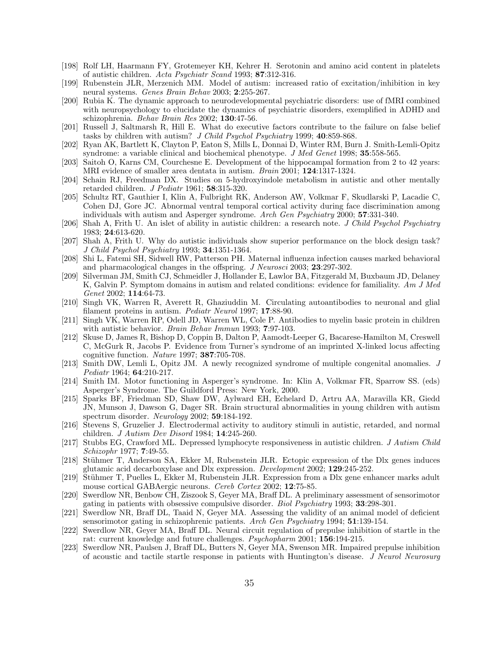- [198] Rolf LH, Haarmann FY, Grotemeyer KH, Kehrer H. Serotonin and amino acid content in platelets of autistic children. *Acta Psychiatr Scand* 1993; **87**:312-316.
- [199] Rubenstein JLR, Merzenich MM. Model of autism: increased ratio of excitation/inhibition in key neural systems. *Genes Brain Behav* 2003; **2**:255-267.
- [200] Rubia K. The dynamic approach to neurodevelopmental psychiatric disorders: use of fMRI combined with neuropsychology to elucidate the dynamics of psychiatric disorders, exemplified in ADHD and schizophrenia. *Behav Brain Res* 2002; **130**:47-56.
- [201] Russell J, Saltmarsh R, Hill E. What do executive factors contribute to the failure on false belief tasks bychildren with autism? *J Child Psychol Psychiatry* 1999; **40**:859-868.
- [202] Ryan AK, Bartlett K, Clayton P, Eaton S, Mills L, Donnai D, Winter RM, Burn J. Smith-Lemli-Opitz syndrome: a variable clinical and biochemical phenotype. *J Med Genet* 1998; **35**:558-565.
- [203] Saitoh O, Karns CM, Courchesne E. Development of the hippocampal formation from 2 to 42 years: MRI evidence of smaller area dentata in autism. *Brain* 2001; **124**:1317-1324.
- [204] Schain RJ, Freedman DX. Studies on 5-hydroxyindole metabolism in autistic and other mentally retarded children. *J Pediatr* 1961; **58**:315-320.
- [205] Schultz RT, Gauthier I, Klin A, Fulbright RK, Anderson AW, Volkmar F, Skudlarski P, Lacadie C, Cohen DJ, Gore JC. Abnormal ventral temporal cortical activity during face discrimination among individuals with autism and Asperger syndrome. *Arch Gen Psychiatry* 2000; **57**:331-340.
- [206] Shah A, Frith U. An islet of abilityin autistic children: a research note. *J Child Psychol Psychiatry* 1983; **24**:613-620.
- [207] Shah A, Frith U. Why do autistic individuals show superior performance on the block design task? *J Child Psychol Psychiatry* 1993; **34**:1351-1364.
- [208] Shi L, Fatemi SH, Sidwell RW, Patterson PH. Maternal influenza infection causes marked behavioral and pharmacological changes in the offspring. *J Neurosci* 2003; **23**:297-302.
- [209] Silverman JM, Smith CJ, Schmeidler J, Hollander E, Lawlor BA, Fitzgerald M, Buxbaum JD, Delaney K, Galvin P. Symptom domains in autism and related conditions: evidence for familiality. *Am J Med Genet* 2002; **114**:64-73.
- [210] Singh VK, Warren R, Averett R, Ghaziuddin M. Circulating autoantibodies to neuronal and glial filament proteins in autism. *Pediatr Neurol* 1997; **17**:88-90.
- [211] Singh VK, Warren RP, Odell JD, Warren WL, Cole P. Antibodies to myelin basic protein in children with autistic behavior. *Brain Behav Immun* 1993; **7**:97-103.
- [212] Skuse D, James R, Bishop D, Coppin B, Dalton P, Aamodt-Leeper G, Bacarese-Hamilton M, Creswell C, McGurk R, Jacobs P. Evidence from Turner's syndrome of an imprinted X-linked locus affecting cognitive function. *Nature* 1997; **387**:705-708.
- [213] Smith DW, Lemli L, Opitz JM. A newlyrecognized syndrome of multiple congenital anomalies. *J Pediatr* 1964; **64**:210-217.
- [214] Smith IM. Motor functioning in Asperger's syndrome. In: Klin A, Volkmar FR, Sparrow SS. (eds) Asperger's Syndrome. The Guildford Press: New York, 2000.
- [215] Sparks BF, Friedman SD, Shaw DW, Aylward EH, Echelard D, Artru AA, Maravilla KR, Giedd JN, Munson J, Dawson G, Dager SR. Brain structural abnormalities in young children with autism spectrum disorder. *Neurology* 2002; **59**:184-192.
- [216] Stevens S, Gruzelier J. Electrodermal activityto auditorystimuli in autistic, retarded, and normal children. *J Autism Dev Disord* 1984; **14**:245-260.
- [217] Stubbs EG, Crawford ML. Depressed lymphocyte responsiveness in autistic children. *J Autism Child Schizophr* 1977; **7**:49-55.
- [218] Stühmer T, Anderson SA, Ekker M, Rubenstein JLR. Ectopic expression of the Dlx genes induces glutamic acid decarboxylase and Dlx expression. *Development* 2002; **129**:245-252.
- [219] St¨uhmer T, Puelles L, Ekker M, Rubenstein JLR. Expression from a Dlx gene enhancer marks adult mouse cortical GABAergic neurons. *Cereb Cortex* 2002; **12**:75-85.
- [220] Swerdlow NR, Benbow CH, Ziszook S, Geyer MA, Braff DL. A preliminary assessment of sensorimotor gating in patients with obsessive compulsive disorder. *Biol Psychiatry* 1993; **33**:298-301.
- [221] Swerdlow NR, Braff DL, Taaid N, Geyer MA. Assessing the validity of an animal model of deficient sensorimotor gating in schizophrenic patients. *Arch Gen Psychiatry* 1994; **51**:139-154.
- [222] Swerdlow NR, Geyer MA, Braff DL. Neural circuit regulation of prepulse inhibition of startle in the rat: current knowledge and future challenges. *Psychopharm* 2001; **156**:194-215.
- [223] Swerdlow NR, Paulsen J, Braff DL, Butters N, Geyer MA, Swenson MR. Impaired prepulse inhibition of acoustic and tactile startle response in patients with Huntington's disease. *J Neurol Neurosurg*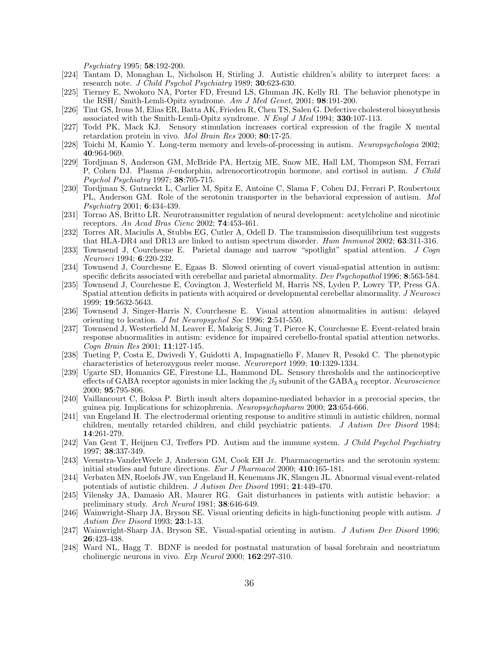*Psychiatry* 1995; **58**:192-200.

- [224] Tantam D, Monaghan L, Nicholson H, Stirling J. Autistic children's ability to interpret faces: a research note. *J Child Psychol Psychiatry* 1989; **30**:623-630.
- [225] TierneyE, Nwokoro NA, Porter FD, Freund LS, Ghuman JK, KellyRI. The behavior phenotype in the RSH/ Smith-Lemli-Opitz syndrome. *Am J Med Genet*, 2001; **98**:191-200.
- [226] Tint GS, Irons M, Elias ER, Batta AK, Frieden R, Chen TS, Salen G. Defective cholesterol biosynthesis associated with the Smith-Lemli-Opitz syndrome. *N Engl J Med* 1994; **330**:107-113.
- [227] Todd PK, Mack KJ. Sensorystimulation increases cortical expression of the fragile X mental retardation protein in vivo. *Mol Brain Res* 2000; **80**:17-25.
- [228] Toichi M, Kamio Y. Long-term memoryand levels-of-processing in autism. *Neuropsychologia* 2002; **40**:964-969.
- [229] Tordjman S, Anderson GM, McBride PA, Hertzig ME, Snow ME, Hall LM, Thompson SM, Ferrari P, Cohen DJ. Plasma β-endorphin, adrenocorticotropin hormone, and cortisol in autism. *J Child Psychol Psychiatry* 1997; **38**:705-715.
- [230] Tordjman S, Gutneckt L, Carlier M, Spitz E, Antoine C, Slama F, Cohen DJ, Ferrari P, Roubertoux PL, Anderson GM. Role of the serotonin transporter in the behavioral expression of autism. *Mol Psychiatry* 2001; **6**:434-439.
- [231] Torrao AS, Britto LR. Neurotransmitter regulation of neural development: acetylcholine and nicotinic receptors. *An Acad Bras Cienc* 2002; **74**:453-461.
- [232] Torres AR, Maciulis A, Stubbs EG, Cutler A, Odell D. The transmission disequilibrium test suggests that HLA-DR4 and DR13 are linked to autism spectrum disorder. *Hum Immunol* 2002; **63**:311-316.
- [233] Townsend J, Courchesne E. Parietal damage and narrow "spotlight" spatial attention. *J Cogn Neurosci* 1994; **6**:220-232.
- [234] Townsend J, Courchesne E, Egaas B. Slowed orienting of covert visual-spatial attention in autism: specific deficits associated with cerebellar and parietal abnormality. *Dev Psychopathol* 1996; **8**:563-584.
- [235] Townsend J, Courchesne E, Covington J, Westerfield M, Harris NS, Lyden P, Lowry TP, Press GA. Spatial attention deficits in patients with acquired or developmental cerebellar abnormality. *J Neurosci* 1999; **19**:5632-5643.
- [236] Townsend J, Singer-Harris N, Courchesne E. Visual attention abnormalities in autism: delayed orienting to location. *J Int Neuropsychol Soc* 1996; **2**:541-550.
- [237] Townsend J, Westerfield M, Leaver E, Makeig S, Jung T, Pierce K, Courchesne E. Event-related brain response abnormalities in autism: evidence for impaired cerebello-frontal spatial attention networks. *Cogn Brain Res* 2001; **11**:127-145.
- [238] Tueting P, Costa E, Dwivedi Y, Guidotti A, Impagnatiello F, Manev R, Pesokd C. The phenotypic characteristics of heterozygous reeler mouse. *Neuroreport* 1999; **10**:1329-1334.
- [239] Ugarte SD, Homanics GE, Firestone LL, Hammond DL. Sensorythresholds and the antinociceptive effects of GABA receptor agonists in mice lacking the β<sup>3</sup> subunit of the GABA<sup>A</sup> receptor. *Neuroscience* 2000; **95**:795-806.
- [240] Vaillancourt C, Boksa P. Birth insult alters dopamine-mediated behavior in a precocial species, the guinea pig. Implications for schizophrenia. *Neuropsychopharm* 2000; **23**:654-666.
- [241] van Engeland H. The electrodermal orienting response to auditive stimuli in autistic children, normal children, mentally retarded children, and child psychiatric patients. *J Autism Dev Disord* 1984; **14**:261-279.
- [242] Van Gent T, Heijnen CJ, Treffers PD. Autism and the immune system. *J Child Psychol Psychiatry* 1997; **38**:337-349.
- [243] Veenstra-VanderWeele J, Anderson GM, Cook EH Jr. Pharmacogenetics and the serotonin system: initial studies and future directions. *Eur J Pharmacol* 2000; **410**:165-181.
- [244] Verbaten MN, Roelofs JW, van Engeland H, Kenemans JK, Slangen JL. Abnormal visual event-related potentials of autistic children. *J Autism Dev Disord* 1991; **21**:449-470.
- [245] VilenskyJA, Damasio AR, Maurer RG. Gait disturbances in patients with autistic behavior: a preliminarystudy. *Arch Neurol* 1981; **38**:646-649.
- [246] Wainwright-Sharp JA, Bryson SE. Visual orienting deficits in high-functioning people with autism. *J Autism Dev Disord* 1993; **23**:1-13.
- [247] Wainwright-Sharp JA, Bryson SE, Visual-spatial orienting in autism. *J Autism Dev Disord* 1996; **26**:423-438.
- [248] Ward NL, Hagg T. BDNF is needed for postnatal maturation of basal forebrain and neostriatum cholinergic neurons in vivo. *Exp Neurol* 2000; **162**:297-310.